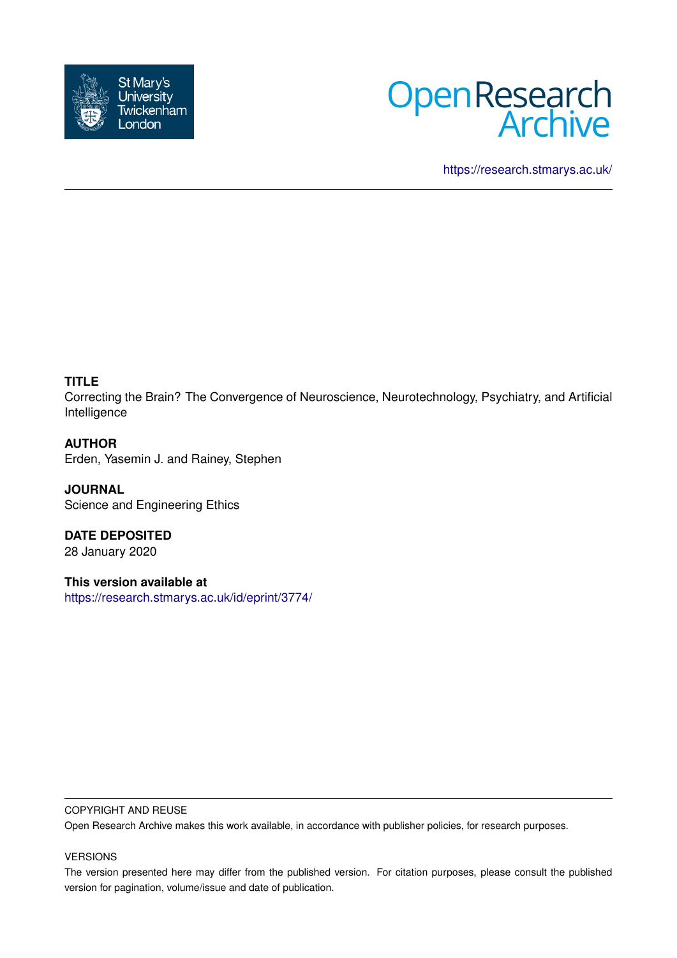



<https://research.stmarys.ac.uk/>

# **TITLE**

Correcting the Brain? The Convergence of Neuroscience, Neurotechnology, Psychiatry, and Artificial Intelligence

## **AUTHOR**

Erden, Yasemin J. and Rainey, Stephen

**JOURNAL** Science and Engineering Ethics

**DATE DEPOSITED** 28 January 2020

**This version available at** <https://research.stmarys.ac.uk/id/eprint/3774/>

## COPYRIGHT AND REUSE

Open Research Archive makes this work available, in accordance with publisher policies, for research purposes.

## VERSIONS

The version presented here may differ from the published version. For citation purposes, please consult the published version for pagination, volume/issue and date of publication.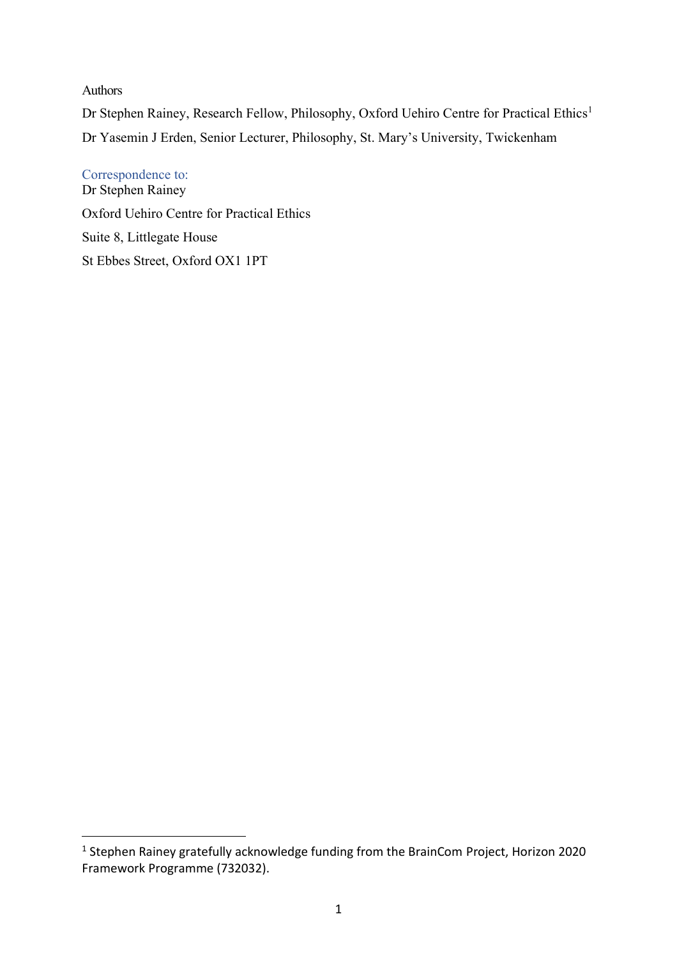## Authors

Dr Stephen Rainey, Research Fellow, Philosophy, Oxford Uehiro Centre for Practical Ethics<sup>1</sup> Dr Yasemin J Erden, Senior Lecturer, Philosophy, St. Mary's University, Twickenham

Correspondence to: Dr Stephen Rainey Oxford Uehiro Centre for Practical Ethics Suite 8, Littlegate House St Ebbes Street, Oxford OX1 1PT

<sup>1</sup> Stephen Rainey gratefully acknowledge funding from the BrainCom Project, Horizon 2020 Framework Programme (732032).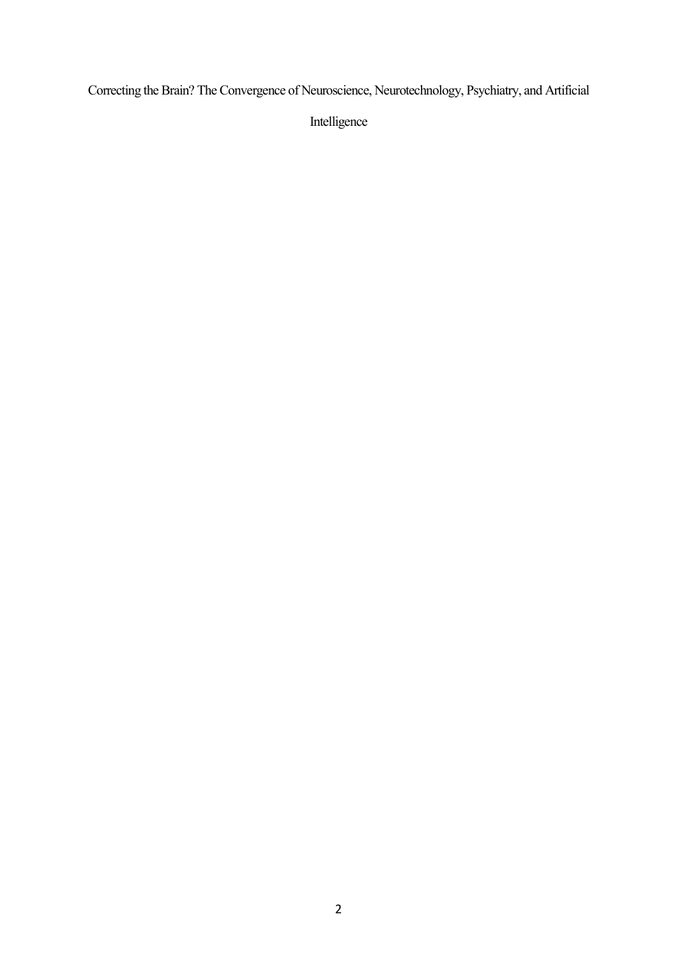Correcting the Brain? The Convergence of Neuroscience, Neurotechnology, Psychiatry, and Artificial

Intelligence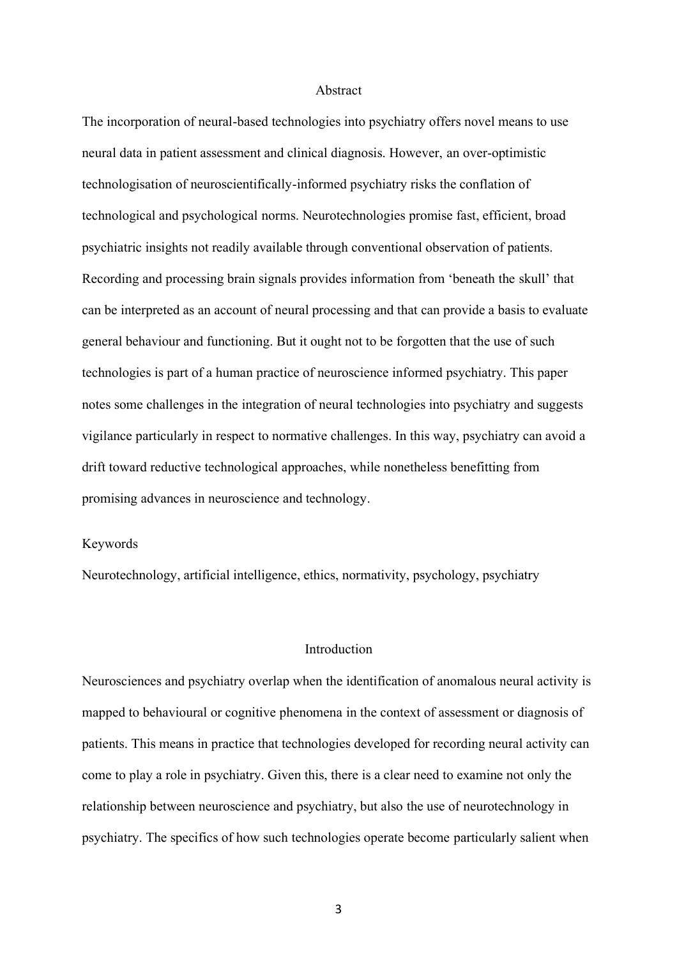### Abstract

The incorporation of neural-based technologies into psychiatry offers novel means to use neural data in patient assessment and clinical diagnosis. However, an over-optimistic technologisation of neuroscientifically-informed psychiatry risks the conflation of technological and psychological norms. Neurotechnologies promise fast, efficient, broad psychiatric insights not readily available through conventional observation of patients. Recording and processing brain signals provides information from 'beneath the skull' that can be interpreted as an account of neural processing and that can provide a basis to evaluate general behaviour and functioning. But it ought not to be forgotten that the use of such technologies is part of a human practice of neuroscience informed psychiatry. This paper notes some challenges in the integration of neural technologies into psychiatry and suggests vigilance particularly in respect to normative challenges. In this way, psychiatry can avoid a drift toward reductive technological approaches, while nonetheless benefitting from promising advances in neuroscience and technology.

#### Keywords

Neurotechnology, artificial intelligence, ethics, normativity, psychology, psychiatry

## Introduction

Neurosciences and psychiatry overlap when the identification of anomalous neural activity is mapped to behavioural or cognitive phenomena in the context of assessment or diagnosis of patients. This means in practice that technologies developed for recording neural activity can come to play a role in psychiatry. Given this, there is a clear need to examine not only the relationship between neuroscience and psychiatry, but also the use of neurotechnology in psychiatry. The specifics of how such technologies operate become particularly salient when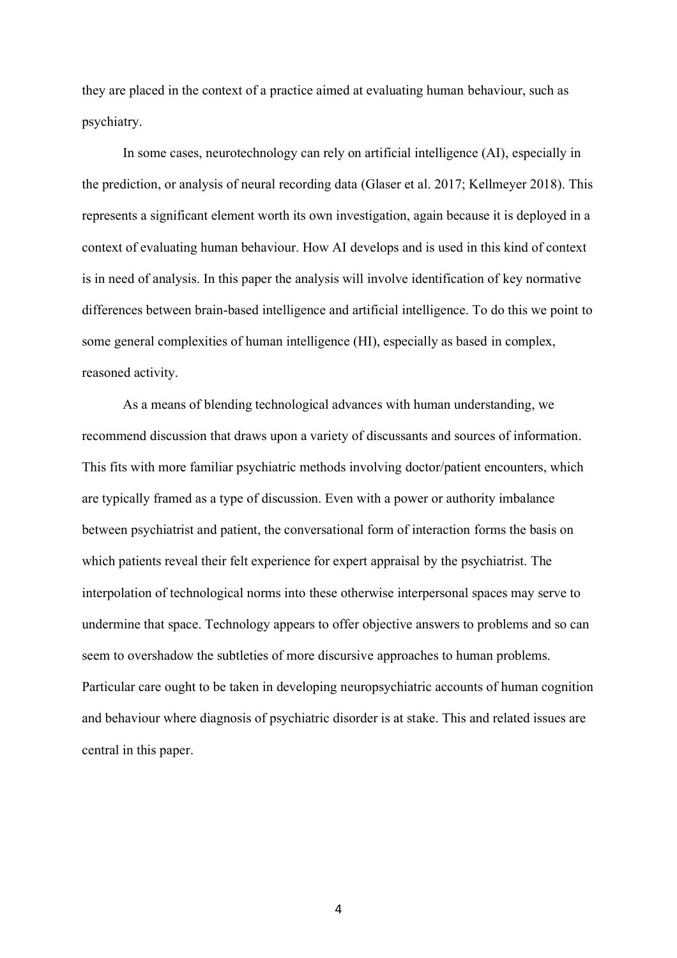they are placed in the context of a practice aimed at evaluating human behaviour, such as psychiatry.

In some cases, neurotechnology can rely on artificial intelligence (AI), especially in the prediction, or analysis of neural recording data (Glaser et al. 2017; Kellmeyer 2018). This represents a significant element worth its own investigation, again because it is deployed in a context of evaluating human behaviour. How AI develops and is used in this kind of context is in need of analysis. In this paper the analysis will involve identification of key normative differences between brain-based intelligence and artificial intelligence. To do this we point to some general complexities of human intelligence (HI), especially as based in complex, reasoned activity.

As a means of blending technological advances with human understanding, we recommend discussion that draws upon a variety of discussants and sources of information. This fits with more familiar psychiatric methods involving doctor/patient encounters, which are typically framed as a type of discussion. Even with a power or authority imbalance between psychiatrist and patient, the conversational form of interaction forms the basis on which patients reveal their felt experience for expert appraisal by the psychiatrist. The interpolation of technological norms into these otherwise interpersonal spaces may serve to undermine that space. Technology appears to offer objective answers to problems and so can seem to overshadow the subtleties of more discursive approaches to human problems. Particular care ought to be taken in developing neuropsychiatric accounts of human cognition and behaviour where diagnosis of psychiatric disorder is at stake. This and related issues are central in this paper.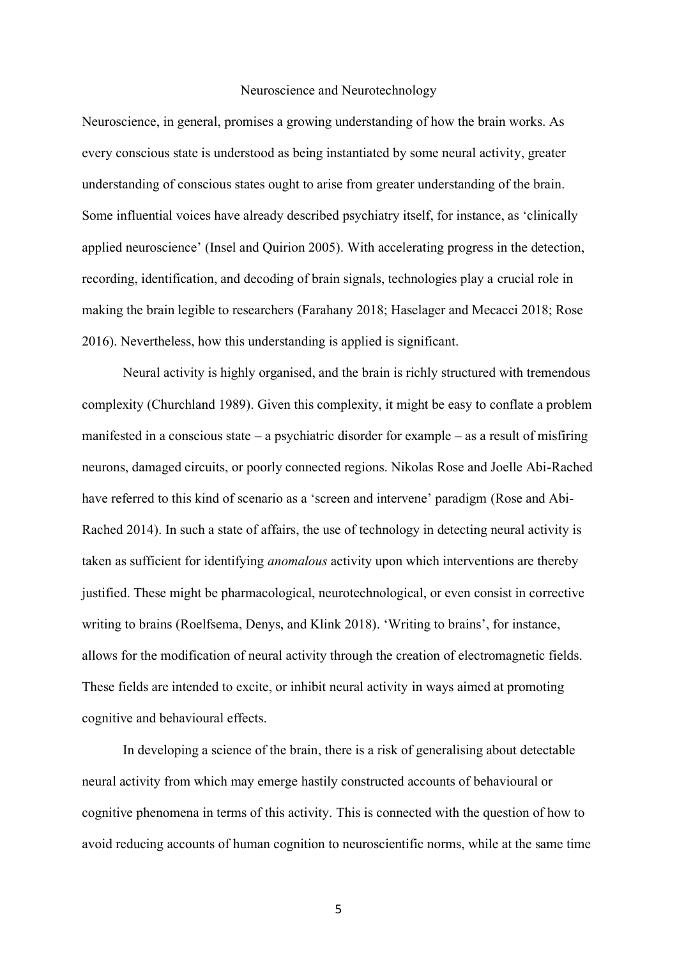#### Neuroscience and Neurotechnology

Neuroscience, in general, promises a growing understanding of how the brain works. As every conscious state is understood as being instantiated by some neural activity, greater understanding of conscious states ought to arise from greater understanding of the brain. Some influential voices have already described psychiatry itself, for instance, as 'clinically applied neuroscience' (Insel and Quirion 2005). With accelerating progress in the detection, recording, identification, and decoding of brain signals, technologies play a crucial role in making the brain legible to researchers (Farahany 2018; Haselager and Mecacci 2018; Rose 2016). Nevertheless, how this understanding is applied is significant.

Neural activity is highly organised, and the brain is richly structured with tremendous complexity (Churchland 1989). Given this complexity, it might be easy to conflate a problem manifested in a conscious state – a psychiatric disorder for example – as a result of misfiring neurons, damaged circuits, or poorly connected regions. Nikolas Rose and Joelle Abi-Rached have referred to this kind of scenario as a 'screen and intervene' paradigm (Rose and Abi-Rached 2014). In such a state of affairs, the use of technology in detecting neural activity is taken as sufficient for identifying *anomalous* activity upon which interventions are thereby justified. These might be pharmacological, neurotechnological, or even consist in corrective writing to brains (Roelfsema, Denys, and Klink 2018). 'Writing to brains', for instance, allows for the modification of neural activity through the creation of electromagnetic fields. These fields are intended to excite, or inhibit neural activity in ways aimed at promoting cognitive and behavioural effects.

In developing a science of the brain, there is a risk of generalising about detectable neural activity from which may emerge hastily constructed accounts of behavioural or cognitive phenomena in terms of this activity. This is connected with the question of how to avoid reducing accounts of human cognition to neuroscientific norms, while at the same time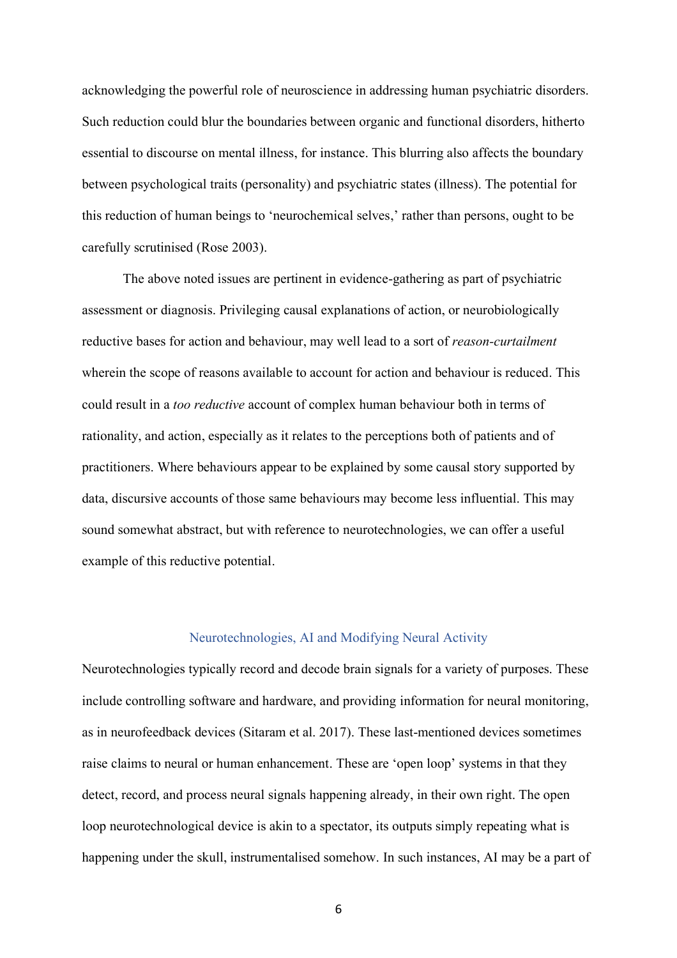acknowledging the powerful role of neuroscience in addressing human psychiatric disorders. Such reduction could blur the boundaries between organic and functional disorders, hitherto essential to discourse on mental illness, for instance. This blurring also affects the boundary between psychological traits (personality) and psychiatric states (illness). The potential for this reduction of human beings to 'neurochemical selves,' rather than persons, ought to be carefully scrutinised (Rose 2003).

The above noted issues are pertinent in evidence-gathering as part of psychiatric assessment or diagnosis. Privileging causal explanations of action, or neurobiologically reductive bases for action and behaviour, may well lead to a sort of *reason-curtailment* wherein the scope of reasons available to account for action and behaviour is reduced. This could result in a *too reductive* account of complex human behaviour both in terms of rationality, and action, especially as it relates to the perceptions both of patients and of practitioners. Where behaviours appear to be explained by some causal story supported by data, discursive accounts of those same behaviours may become less influential. This may sound somewhat abstract, but with reference to neurotechnologies, we can offer a useful example of this reductive potential.

### Neurotechnologies, AI and Modifying Neural Activity

Neurotechnologies typically record and decode brain signals for a variety of purposes. These include controlling software and hardware, and providing information for neural monitoring, as in neurofeedback devices (Sitaram et al. 2017). These last-mentioned devices sometimes raise claims to neural or human enhancement. These are 'open loop' systems in that they detect, record, and process neural signals happening already, in their own right. The open loop neurotechnological device is akin to a spectator, its outputs simply repeating what is happening under the skull, instrumentalised somehow. In such instances, AI may be a part of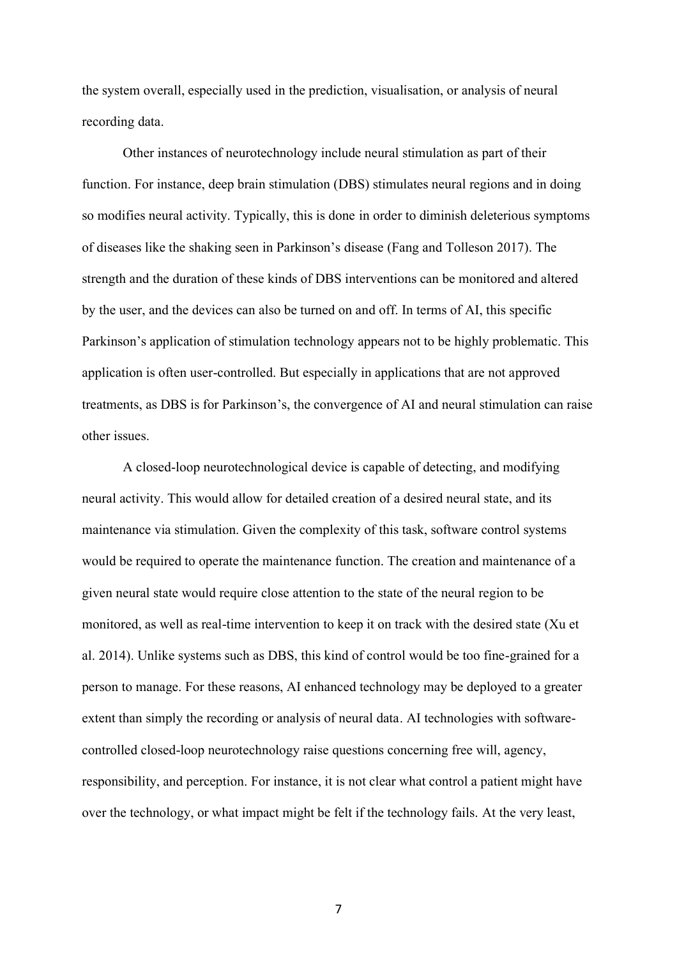the system overall, especially used in the prediction, visualisation, or analysis of neural recording data.

Other instances of neurotechnology include neural stimulation as part of their function. For instance, deep brain stimulation (DBS) stimulates neural regions and in doing so modifies neural activity. Typically, this is done in order to diminish deleterious symptoms of diseases like the shaking seen in Parkinson's disease (Fang and Tolleson 2017). The strength and the duration of these kinds of DBS interventions can be monitored and altered by the user, and the devices can also be turned on and off. In terms of AI, this specific Parkinson's application of stimulation technology appears not to be highly problematic. This application is often user-controlled. But especially in applications that are not approved treatments, as DBS is for Parkinson's, the convergence of AI and neural stimulation can raise other issues.

A closed-loop neurotechnological device is capable of detecting, and modifying neural activity. This would allow for detailed creation of a desired neural state, and its maintenance via stimulation. Given the complexity of this task, software control systems would be required to operate the maintenance function. The creation and maintenance of a given neural state would require close attention to the state of the neural region to be monitored, as well as real-time intervention to keep it on track with the desired state (Xu et al. 2014). Unlike systems such as DBS, this kind of control would be too fine-grained for a person to manage. For these reasons, AI enhanced technology may be deployed to a greater extent than simply the recording or analysis of neural data. AI technologies with softwarecontrolled closed-loop neurotechnology raise questions concerning free will, agency, responsibility, and perception. For instance, it is not clear what control a patient might have over the technology, or what impact might be felt if the technology fails. At the very least,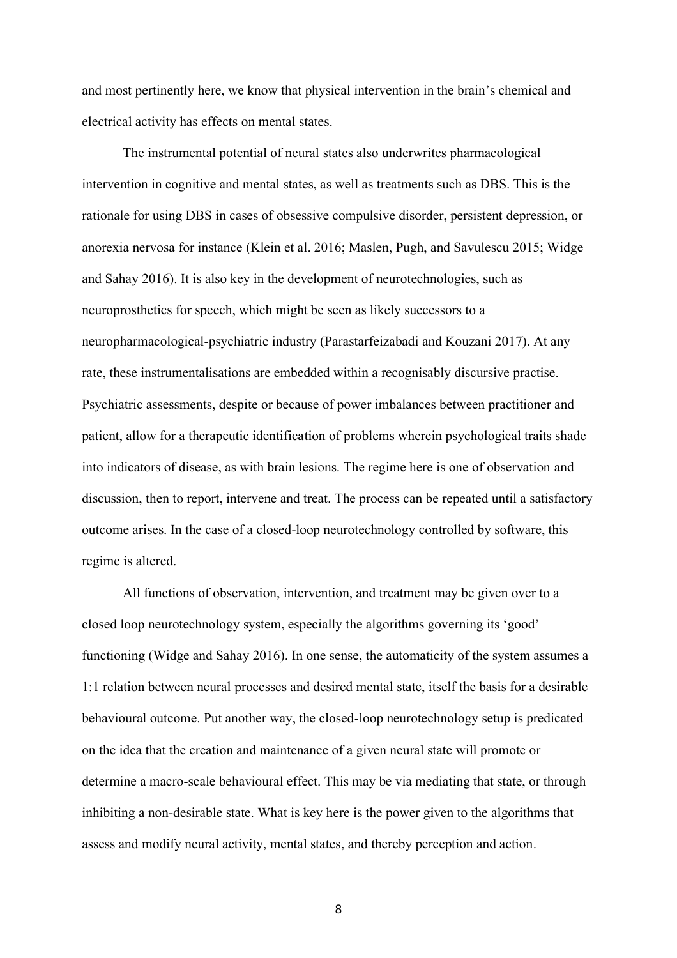and most pertinently here, we know that physical intervention in the brain's chemical and electrical activity has effects on mental states.

The instrumental potential of neural states also underwrites pharmacological intervention in cognitive and mental states, as well as treatments such as DBS. This is the rationale for using DBS in cases of obsessive compulsive disorder, persistent depression, or anorexia nervosa for instance (Klein et al. 2016; Maslen, Pugh, and Savulescu 2015; Widge and Sahay 2016). It is also key in the development of neurotechnologies, such as neuroprosthetics for speech, which might be seen as likely successors to a neuropharmacological-psychiatric industry (Parastarfeizabadi and Kouzani 2017). At any rate, these instrumentalisations are embedded within a recognisably discursive practise. Psychiatric assessments, despite or because of power imbalances between practitioner and patient, allow for a therapeutic identification of problems wherein psychological traits shade into indicators of disease, as with brain lesions. The regime here is one of observation and discussion, then to report, intervene and treat. The process can be repeated until a satisfactory outcome arises. In the case of a closed-loop neurotechnology controlled by software, this regime is altered.

All functions of observation, intervention, and treatment may be given over to a closed loop neurotechnology system, especially the algorithms governing its 'good' functioning (Widge and Sahay 2016). In one sense, the automaticity of the system assumes a 1:1 relation between neural processes and desired mental state, itself the basis for a desirable behavioural outcome. Put another way, the closed-loop neurotechnology setup is predicated on the idea that the creation and maintenance of a given neural state will promote or determine a macro-scale behavioural effect. This may be via mediating that state, or through inhibiting a non-desirable state. What is key here is the power given to the algorithms that assess and modify neural activity, mental states, and thereby perception and action.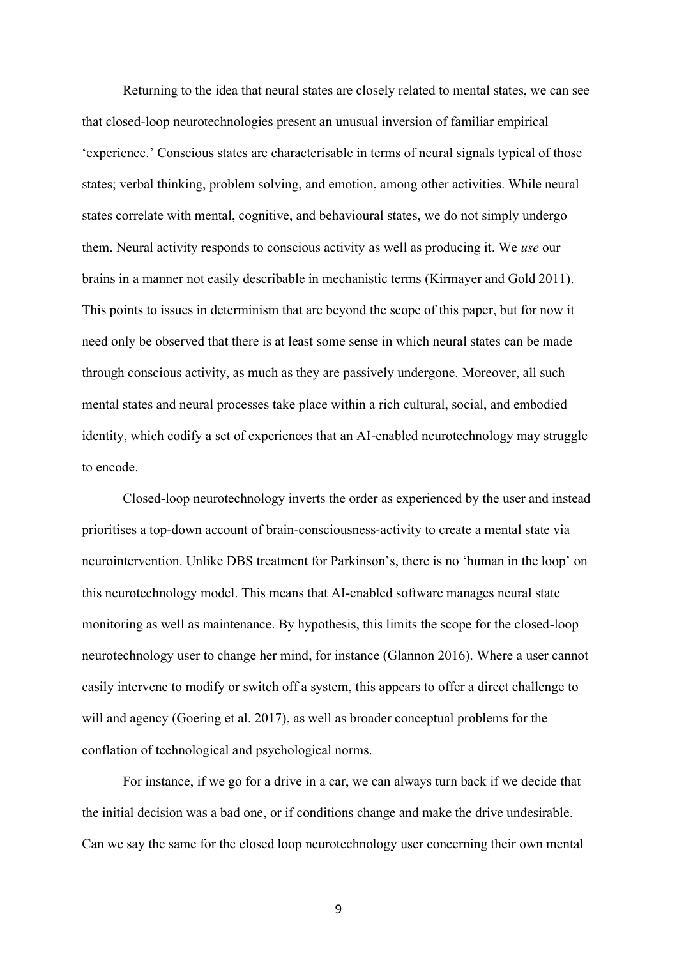Returning to the idea that neural states are closely related to mental states, we can see that closed-loop neurotechnologies present an unusual inversion of familiar empirical 'experience.' Conscious states are characterisable in terms of neural signals typical of those states; verbal thinking, problem solving, and emotion, among other activities. While neural states correlate with mental, cognitive, and behavioural states, we do not simply undergo them. Neural activity responds to conscious activity as well as producing it. We *use* our brains in a manner not easily describable in mechanistic terms (Kirmayer and Gold 2011). This points to issues in determinism that are beyond the scope of this paper, but for now it need only be observed that there is at least some sense in which neural states can be made through conscious activity, as much as they are passively undergone. Moreover, all such mental states and neural processes take place within a rich cultural, social, and embodied identity, which codify a set of experiences that an AI-enabled neurotechnology may struggle to encode.

Closed-loop neurotechnology inverts the order as experienced by the user and instead prioritises a top-down account of brain-consciousness-activity to create a mental state via neurointervention. Unlike DBS treatment for Parkinson's, there is no 'human in the loop' on this neurotechnology model. This means that AI-enabled software manages neural state monitoring as well as maintenance. By hypothesis, this limits the scope for the closed-loop neurotechnology user to change her mind, for instance (Glannon 2016). Where a user cannot easily intervene to modify or switch off a system, this appears to offer a direct challenge to will and agency (Goering et al. 2017), as well as broader conceptual problems for the conflation of technological and psychological norms.

For instance, if we go for a drive in a car, we can always turn back if we decide that the initial decision was a bad one, or if conditions change and make the drive undesirable. Can we say the same for the closed loop neurotechnology user concerning their own mental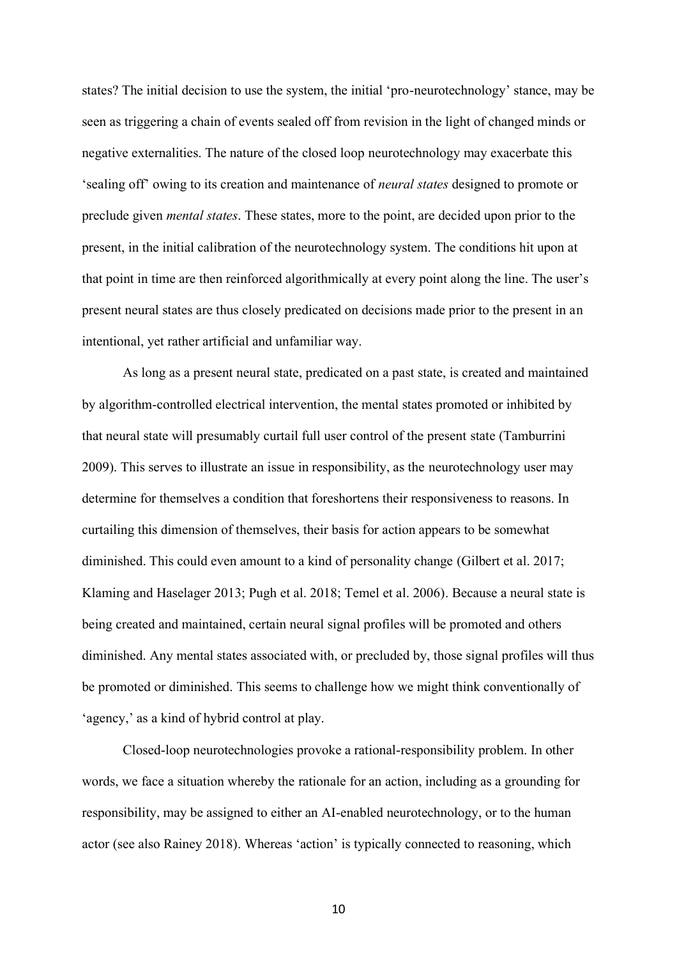states? The initial decision to use the system, the initial 'pro-neurotechnology' stance, may be seen as triggering a chain of events sealed off from revision in the light of changed minds or negative externalities. The nature of the closed loop neurotechnology may exacerbate this 'sealing off' owing to its creation and maintenance of *neural states* designed to promote or preclude given *mental states*. These states, more to the point, are decided upon prior to the present, in the initial calibration of the neurotechnology system. The conditions hit upon at that point in time are then reinforced algorithmically at every point along the line. The user's present neural states are thus closely predicated on decisions made prior to the present in an intentional, yet rather artificial and unfamiliar way.

As long as a present neural state, predicated on a past state, is created and maintained by algorithm-controlled electrical intervention, the mental states promoted or inhibited by that neural state will presumably curtail full user control of the present state (Tamburrini 2009). This serves to illustrate an issue in responsibility, as the neurotechnology user may determine for themselves a condition that foreshortens their responsiveness to reasons. In curtailing this dimension of themselves, their basis for action appears to be somewhat diminished. This could even amount to a kind of personality change (Gilbert et al. 2017; Klaming and Haselager 2013; Pugh et al. 2018; Temel et al. 2006). Because a neural state is being created and maintained, certain neural signal profiles will be promoted and others diminished. Any mental states associated with, or precluded by, those signal profiles will thus be promoted or diminished. This seems to challenge how we might think conventionally of 'agency,' as a kind of hybrid control at play.

Closed-loop neurotechnologies provoke a rational-responsibility problem. In other words, we face a situation whereby the rationale for an action, including as a grounding for responsibility, may be assigned to either an AI-enabled neurotechnology, or to the human actor (see also Rainey 2018). Whereas 'action' is typically connected to reasoning, which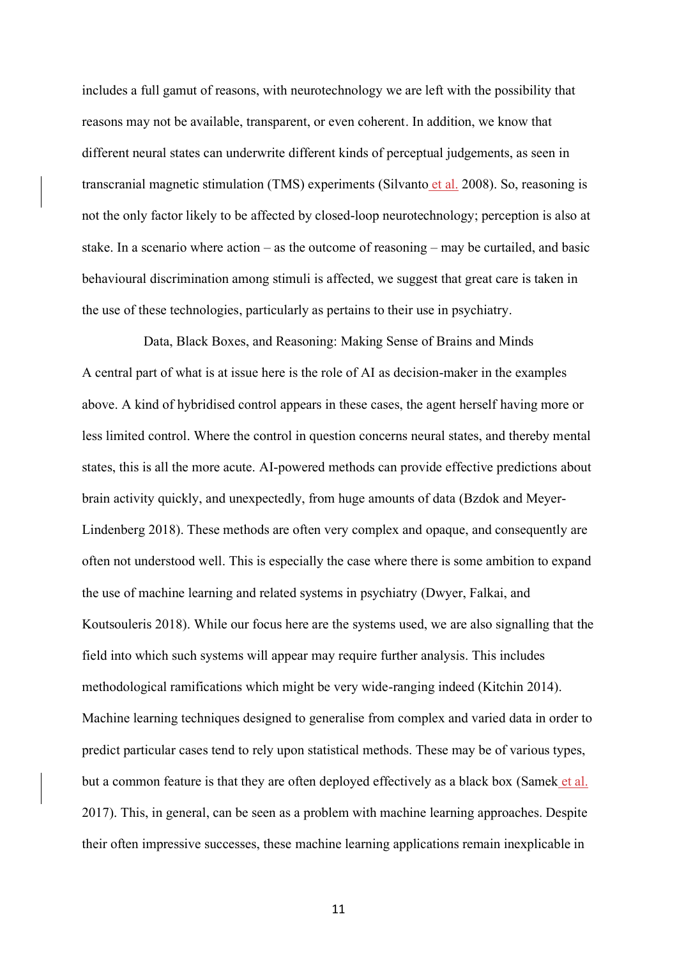includes a full gamut of reasons, with neurotechnology we are left with the possibility that reasons may not be available, transparent, or even coherent. In addition, we know that different neural states can underwrite different kinds of perceptual judgements, as seen in transcranial magnetic stimulation (TMS) experiments (Silvanto et al. 2008). So, reasoning is not the only factor likely to be affected by closed-loop neurotechnology; perception is also at stake. In a scenario where action – as the outcome of reasoning – may be curtailed, and basic behavioural discrimination among stimuli is affected, we suggest that great care is taken in the use of these technologies, particularly as pertains to their use in psychiatry.

Data, Black Boxes, and Reasoning: Making Sense of Brains and Minds A central part of what is at issue here is the role of AI as decision-maker in the examples above. A kind of hybridised control appears in these cases, the agent herself having more or less limited control. Where the control in question concerns neural states, and thereby mental states, this is all the more acute. AI-powered methods can provide effective predictions about brain activity quickly, and unexpectedly, from huge amounts of data (Bzdok and Meyer-Lindenberg 2018). These methods are often very complex and opaque, and consequently are often not understood well. This is especially the case where there is some ambition to expand the use of machine learning and related systems in psychiatry (Dwyer, Falkai, and Koutsouleris 2018). While our focus here are the systems used, we are also signalling that the field into which such systems will appear may require further analysis. This includes methodological ramifications which might be very wide-ranging indeed (Kitchin 2014). Machine learning techniques designed to generalise from complex and varied data in order to predict particular cases tend to rely upon statistical methods. These may be of various types, but a common feature is that they are often deployed effectively as a black box (Samek et al. 2017). This, in general, can be seen as a problem with machine learning approaches. Despite their often impressive successes, these machine learning applications remain inexplicable in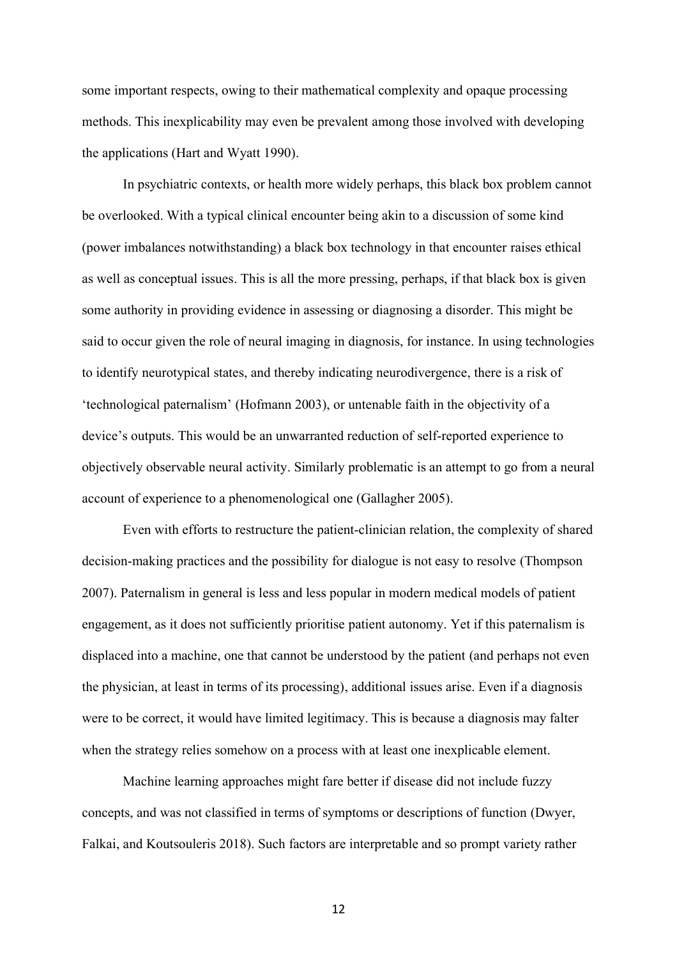some important respects, owing to their mathematical complexity and opaque processing methods. This inexplicability may even be prevalent among those involved with developing the applications (Hart and Wyatt 1990).

In psychiatric contexts, or health more widely perhaps, this black box problem cannot be overlooked. With a typical clinical encounter being akin to a discussion of some kind (power imbalances notwithstanding) a black box technology in that encounter raises ethical as well as conceptual issues. This is all the more pressing, perhaps, if that black box is given some authority in providing evidence in assessing or diagnosing a disorder. This might be said to occur given the role of neural imaging in diagnosis, for instance. In using technologies to identify neurotypical states, and thereby indicating neurodivergence, there is a risk of 'technological paternalism' (Hofmann 2003), or untenable faith in the objectivity of a device's outputs. This would be an unwarranted reduction of self-reported experience to objectively observable neural activity. Similarly problematic is an attempt to go from a neural account of experience to a phenomenological one (Gallagher 2005).

Even with efforts to restructure the patient-clinician relation, the complexity of shared decision-making practices and the possibility for dialogue is not easy to resolve (Thompson 2007). Paternalism in general is less and less popular in modern medical models of patient engagement, as it does not sufficiently prioritise patient autonomy. Yet if this paternalism is displaced into a machine, one that cannot be understood by the patient (and perhaps not even the physician, at least in terms of its processing), additional issues arise. Even if a diagnosis were to be correct, it would have limited legitimacy. This is because a diagnosis may falter when the strategy relies somehow on a process with at least one inexplicable element.

Machine learning approaches might fare better if disease did not include fuzzy concepts, and was not classified in terms of symptoms or descriptions of function (Dwyer, Falkai, and Koutsouleris 2018). Such factors are interpretable and so prompt variety rather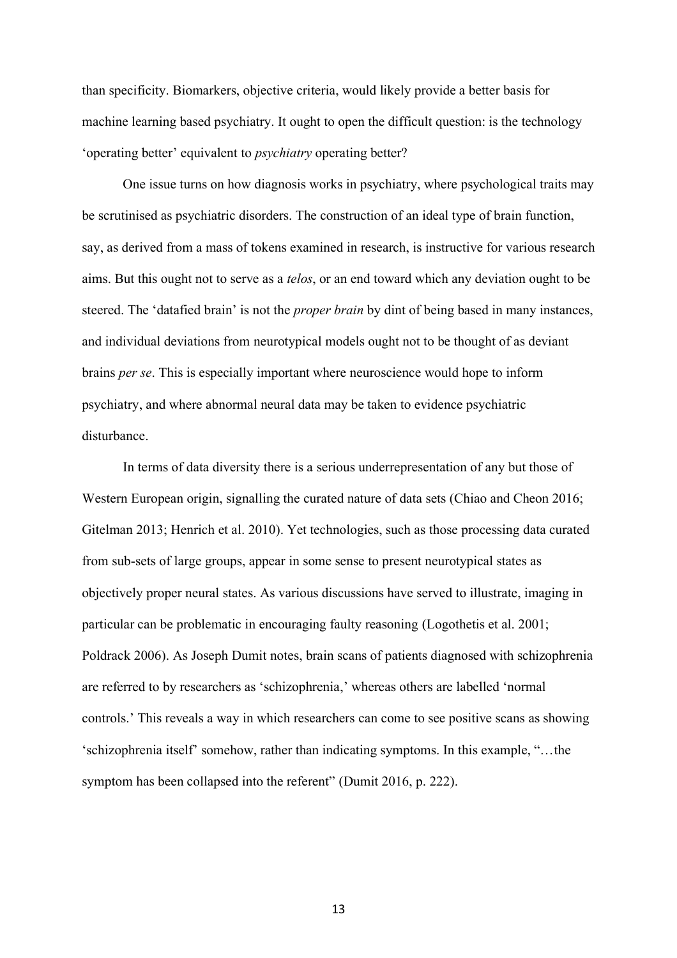than specificity. Biomarkers, objective criteria, would likely provide a better basis for machine learning based psychiatry. It ought to open the difficult question: is the technology 'operating better' equivalent to *psychiatry* operating better?

One issue turns on how diagnosis works in psychiatry, where psychological traits may be scrutinised as psychiatric disorders. The construction of an ideal type of brain function, say, as derived from a mass of tokens examined in research, is instructive for various research aims. But this ought not to serve as a *telos*, or an end toward which any deviation ought to be steered. The 'datafied brain' is not the *proper brain* by dint of being based in many instances, and individual deviations from neurotypical models ought not to be thought of as deviant brains *per se*. This is especially important where neuroscience would hope to inform psychiatry, and where abnormal neural data may be taken to evidence psychiatric disturbance.

In terms of data diversity there is a serious underrepresentation of any but those of Western European origin, signalling the curated nature of data sets (Chiao and Cheon 2016; Gitelman 2013; Henrich et al. 2010). Yet technologies, such as those processing data curated from sub-sets of large groups, appear in some sense to present neurotypical states as objectively proper neural states. As various discussions have served to illustrate, imaging in particular can be problematic in encouraging faulty reasoning (Logothetis et al. 2001; Poldrack 2006). As Joseph Dumit notes, brain scans of patients diagnosed with schizophrenia are referred to by researchers as 'schizophrenia,' whereas others are labelled 'normal controls.' This reveals a way in which researchers can come to see positive scans as showing 'schizophrenia itself' somehow, rather than indicating symptoms. In this example, "…the symptom has been collapsed into the referent" (Dumit 2016, p. 222).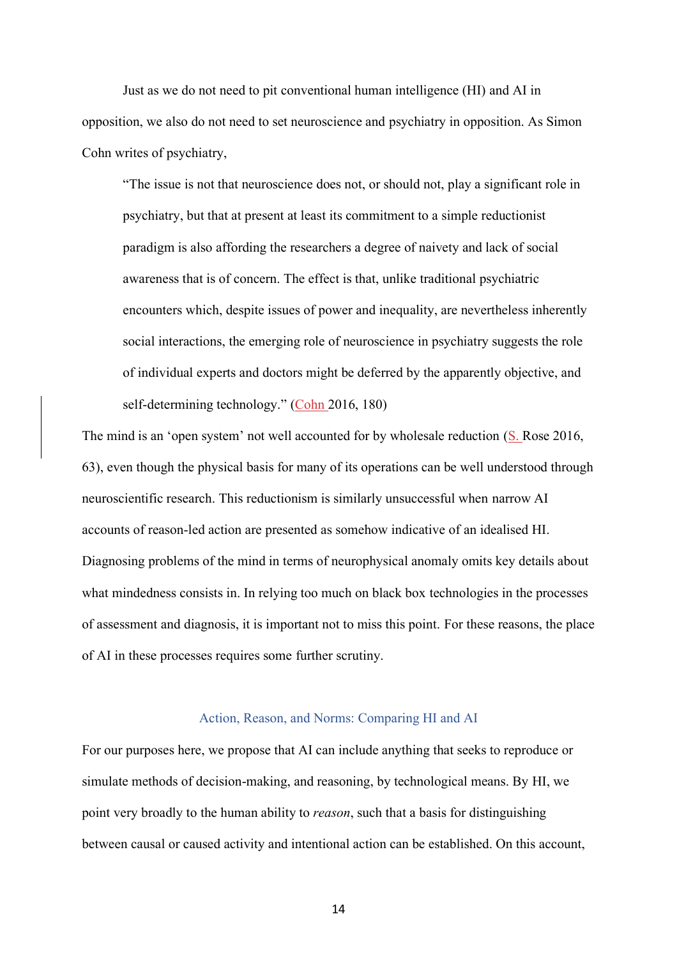Just as we do not need to pit conventional human intelligence (HI) and AI in opposition, we also do not need to set neuroscience and psychiatry in opposition. As Simon Cohn writes of psychiatry,

"The issue is not that neuroscience does not, or should not, play a significant role in psychiatry, but that at present at least its commitment to a simple reductionist paradigm is also affording the researchers a degree of naivety and lack of social awareness that is of concern. The effect is that, unlike traditional psychiatric encounters which, despite issues of power and inequality, are nevertheless inherently social interactions, the emerging role of neuroscience in psychiatry suggests the role of individual experts and doctors might be deferred by the apparently objective, and self-determining technology." (Cohn 2016, 180)

The mind is an 'open system' not well accounted for by wholesale reduction (S. Rose 2016, 63), even though the physical basis for many of its operations can be well understood through neuroscientific research. This reductionism is similarly unsuccessful when narrow AI accounts of reason-led action are presented as somehow indicative of an idealised HI. Diagnosing problems of the mind in terms of neurophysical anomaly omits key details about what mindedness consists in. In relying too much on black box technologies in the processes of assessment and diagnosis, it is important not to miss this point. For these reasons, the place of AI in these processes requires some further scrutiny.

## Action, Reason, and Norms: Comparing HI and AI

For our purposes here, we propose that AI can include anything that seeks to reproduce or simulate methods of decision-making, and reasoning, by technological means. By HI, we point very broadly to the human ability to *reason*, such that a basis for distinguishing between causal or caused activity and intentional action can be established. On this account,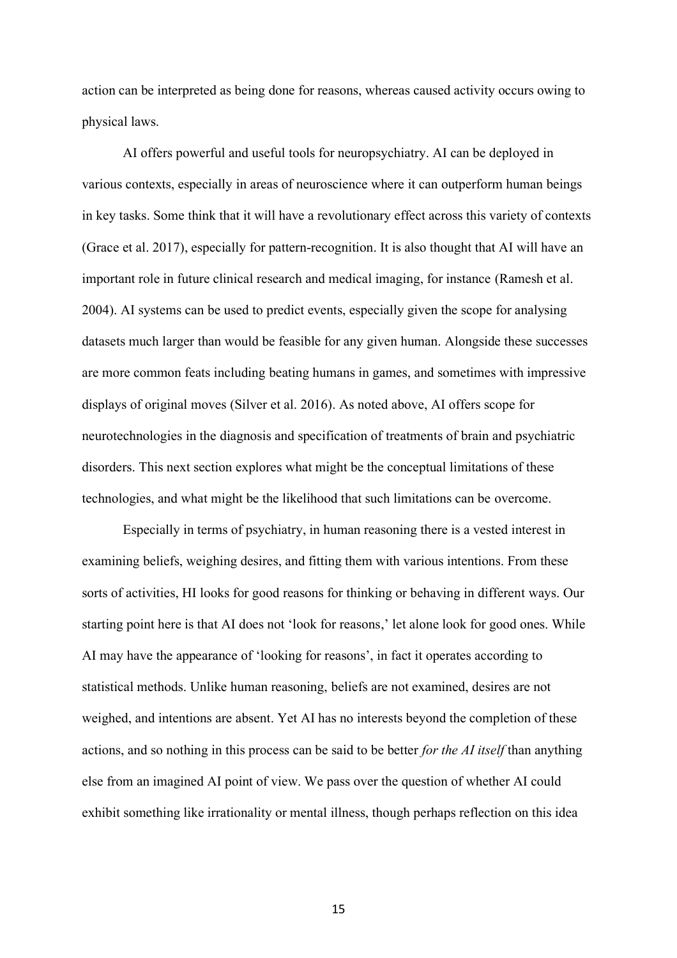action can be interpreted as being done for reasons, whereas caused activity occurs owing to physical laws.

AI offers powerful and useful tools for neuropsychiatry. AI can be deployed in various contexts, especially in areas of neuroscience where it can outperform human beings in key tasks. Some think that it will have a revolutionary effect across this variety of contexts (Grace et al. 2017), especially for pattern-recognition. It is also thought that AI will have an important role in future clinical research and medical imaging, for instance (Ramesh et al. 2004). AI systems can be used to predict events, especially given the scope for analysing datasets much larger than would be feasible for any given human. Alongside these successes are more common feats including beating humans in games, and sometimes with impressive displays of original moves (Silver et al. 2016). As noted above, AI offers scope for neurotechnologies in the diagnosis and specification of treatments of brain and psychiatric disorders. This next section explores what might be the conceptual limitations of these technologies, and what might be the likelihood that such limitations can be overcome.

Especially in terms of psychiatry, in human reasoning there is a vested interest in examining beliefs, weighing desires, and fitting them with various intentions. From these sorts of activities, HI looks for good reasons for thinking or behaving in different ways. Our starting point here is that AI does not 'look for reasons,' let alone look for good ones. While AI may have the appearance of 'looking for reasons', in fact it operates according to statistical methods. Unlike human reasoning, beliefs are not examined, desires are not weighed, and intentions are absent. Yet AI has no interests beyond the completion of these actions, and so nothing in this process can be said to be better *for the AI itself* than anything else from an imagined AI point of view. We pass over the question of whether AI could exhibit something like irrationality or mental illness, though perhaps reflection on this idea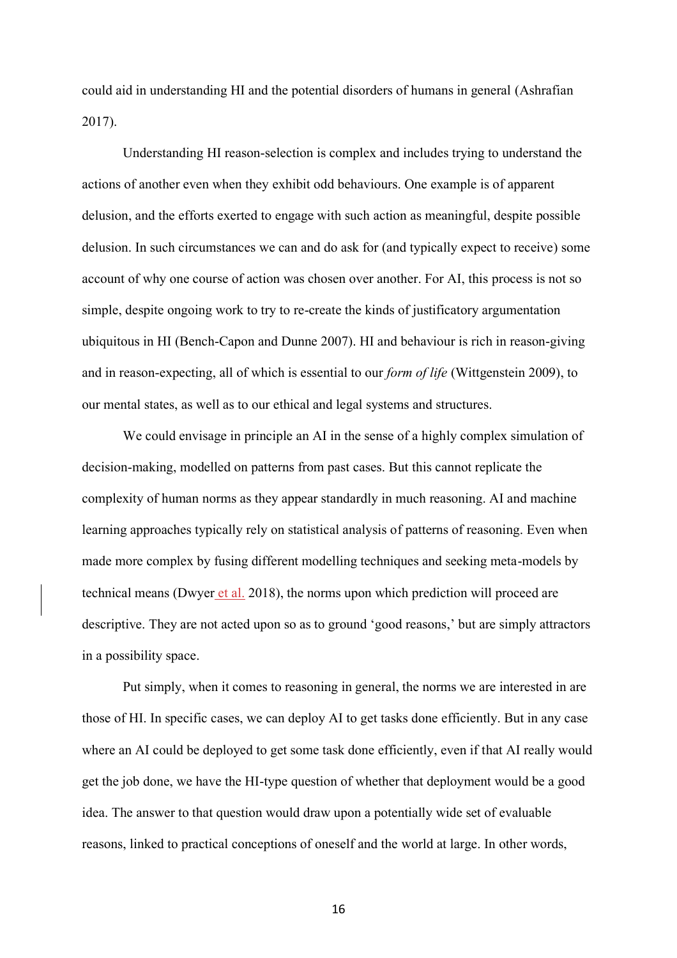could aid in understanding HI and the potential disorders of humans in general (Ashrafian 2017).

Understanding HI reason-selection is complex and includes trying to understand the actions of another even when they exhibit odd behaviours. One example is of apparent delusion, and the efforts exerted to engage with such action as meaningful, despite possible delusion. In such circumstances we can and do ask for (and typically expect to receive) some account of why one course of action was chosen over another. For AI, this process is not so simple, despite ongoing work to try to re-create the kinds of justificatory argumentation ubiquitous in HI (Bench-Capon and Dunne 2007). HI and behaviour is rich in reason-giving and in reason-expecting, all of which is essential to our *form of life* (Wittgenstein 2009), to our mental states, as well as to our ethical and legal systems and structures.

We could envisage in principle an AI in the sense of a highly complex simulation of decision-making, modelled on patterns from past cases. But this cannot replicate the complexity of human norms as they appear standardly in much reasoning. AI and machine learning approaches typically rely on statistical analysis of patterns of reasoning. Even when made more complex by fusing different modelling techniques and seeking meta-models by technical means (Dwyer et al. 2018), the norms upon which prediction will proceed are descriptive. They are not acted upon so as to ground 'good reasons,' but are simply attractors in a possibility space.

Put simply, when it comes to reasoning in general, the norms we are interested in are those of HI. In specific cases, we can deploy AI to get tasks done efficiently. But in any case where an AI could be deployed to get some task done efficiently, even if that AI really would get the job done, we have the HI-type question of whether that deployment would be a good idea. The answer to that question would draw upon a potentially wide set of evaluable reasons, linked to practical conceptions of oneself and the world at large. In other words,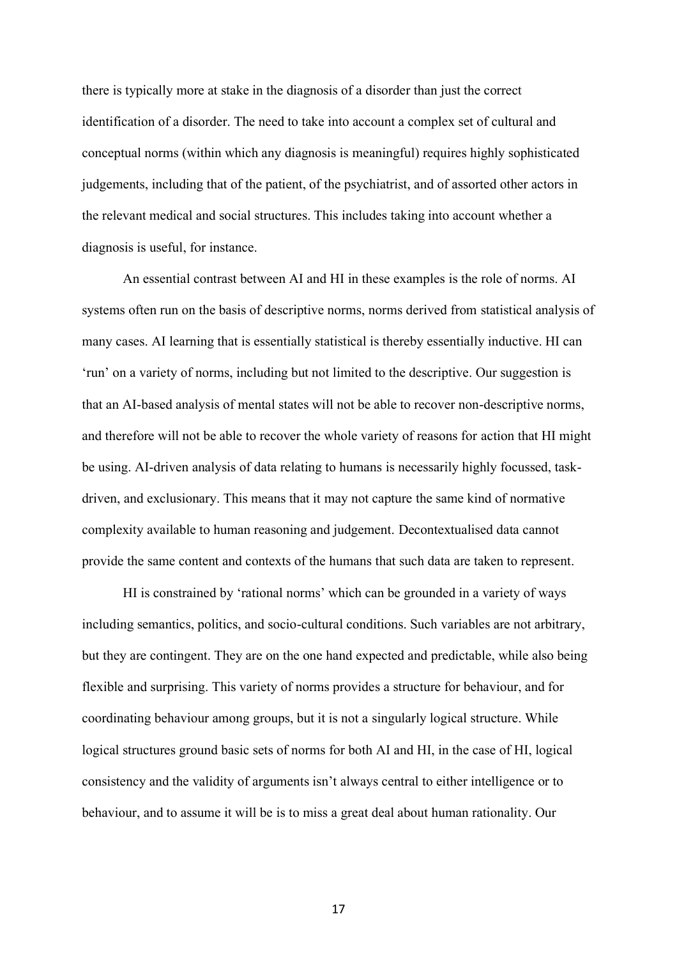there is typically more at stake in the diagnosis of a disorder than just the correct identification of a disorder. The need to take into account a complex set of cultural and conceptual norms (within which any diagnosis is meaningful) requires highly sophisticated judgements, including that of the patient, of the psychiatrist, and of assorted other actors in the relevant medical and social structures. This includes taking into account whether a diagnosis is useful, for instance.

An essential contrast between AI and HI in these examples is the role of norms. AI systems often run on the basis of descriptive norms, norms derived from statistical analysis of many cases. AI learning that is essentially statistical is thereby essentially inductive. HI can 'run' on a variety of norms, including but not limited to the descriptive. Our suggestion is that an AI-based analysis of mental states will not be able to recover non-descriptive norms, and therefore will not be able to recover the whole variety of reasons for action that HI might be using. AI-driven analysis of data relating to humans is necessarily highly focussed, taskdriven, and exclusionary. This means that it may not capture the same kind of normative complexity available to human reasoning and judgement. Decontextualised data cannot provide the same content and contexts of the humans that such data are taken to represent.

HI is constrained by 'rational norms' which can be grounded in a variety of ways including semantics, politics, and socio-cultural conditions. Such variables are not arbitrary, but they are contingent. They are on the one hand expected and predictable, while also being flexible and surprising. This variety of norms provides a structure for behaviour, and for coordinating behaviour among groups, but it is not a singularly logical structure. While logical structures ground basic sets of norms for both AI and HI, in the case of HI, logical consistency and the validity of arguments isn't always central to either intelligence or to behaviour, and to assume it will be is to miss a great deal about human rationality. Our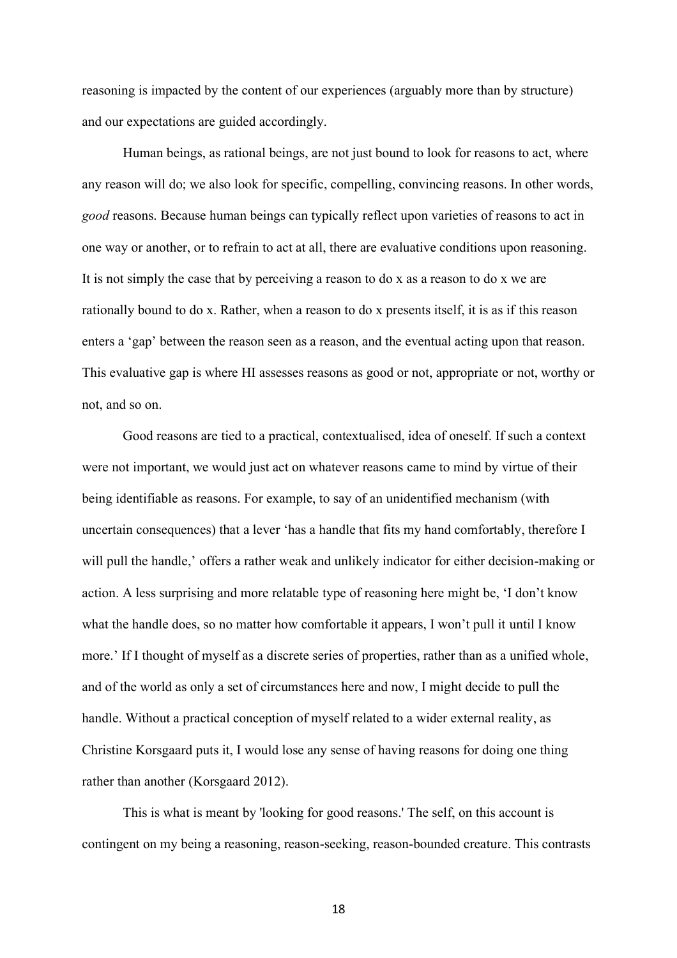reasoning is impacted by the content of our experiences (arguably more than by structure) and our expectations are guided accordingly.

Human beings, as rational beings, are not just bound to look for reasons to act, where any reason will do; we also look for specific, compelling, convincing reasons. In other words, *good* reasons. Because human beings can typically reflect upon varieties of reasons to act in one way or another, or to refrain to act at all, there are evaluative conditions upon reasoning. It is not simply the case that by perceiving a reason to do x as a reason to do x we are rationally bound to do x. Rather, when a reason to do x presents itself, it is as if this reason enters a 'gap' between the reason seen as a reason, and the eventual acting upon that reason. This evaluative gap is where HI assesses reasons as good or not, appropriate or not, worthy or not, and so on.

Good reasons are tied to a practical, contextualised, idea of oneself. If such a context were not important, we would just act on whatever reasons came to mind by virtue of their being identifiable as reasons. For example, to say of an unidentified mechanism (with uncertain consequences) that a lever 'has a handle that fits my hand comfortably, therefore I will pull the handle,' offers a rather weak and unlikely indicator for either decision-making or action. A less surprising and more relatable type of reasoning here might be, 'I don't know what the handle does, so no matter how comfortable it appears, I won't pull it until I know more.' If I thought of myself as a discrete series of properties, rather than as a unified whole, and of the world as only a set of circumstances here and now, I might decide to pull the handle. Without a practical conception of myself related to a wider external reality, as Christine Korsgaard puts it, I would lose any sense of having reasons for doing one thing rather than another (Korsgaard 2012).

This is what is meant by 'looking for good reasons.' The self, on this account is contingent on my being a reasoning, reason-seeking, reason-bounded creature. This contrasts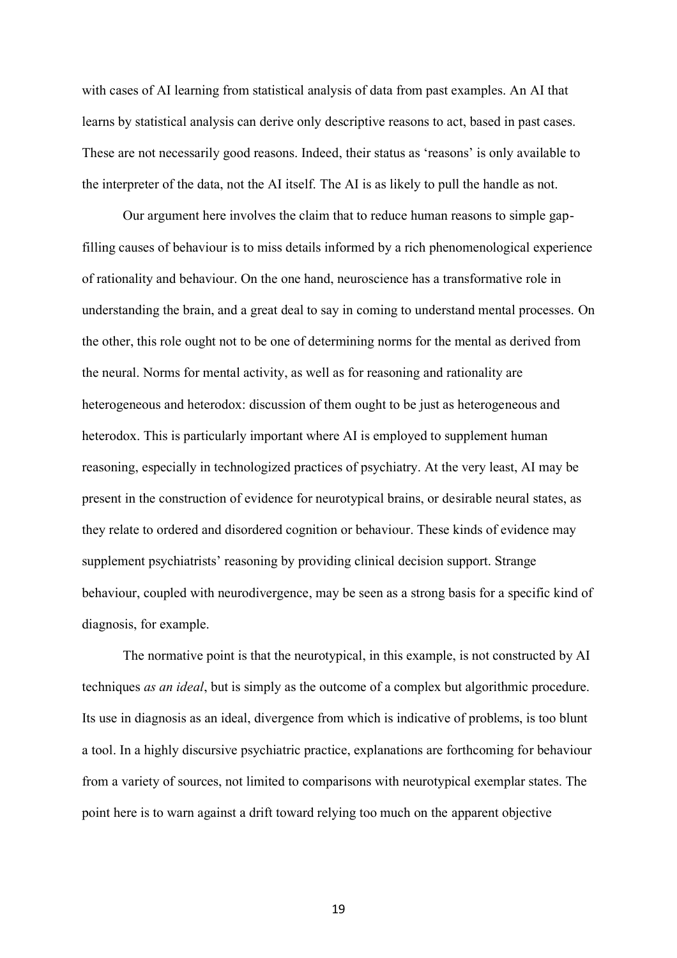with cases of AI learning from statistical analysis of data from past examples. An AI that learns by statistical analysis can derive only descriptive reasons to act, based in past cases. These are not necessarily good reasons. Indeed, their status as 'reasons' is only available to the interpreter of the data, not the AI itself. The AI is as likely to pull the handle as not.

Our argument here involves the claim that to reduce human reasons to simple gapfilling causes of behaviour is to miss details informed by a rich phenomenological experience of rationality and behaviour. On the one hand, neuroscience has a transformative role in understanding the brain, and a great deal to say in coming to understand mental processes. On the other, this role ought not to be one of determining norms for the mental as derived from the neural. Norms for mental activity, as well as for reasoning and rationality are heterogeneous and heterodox: discussion of them ought to be just as heterogeneous and heterodox. This is particularly important where AI is employed to supplement human reasoning, especially in technologized practices of psychiatry. At the very least, AI may be present in the construction of evidence for neurotypical brains, or desirable neural states, as they relate to ordered and disordered cognition or behaviour. These kinds of evidence may supplement psychiatrists' reasoning by providing clinical decision support. Strange behaviour, coupled with neurodivergence, may be seen as a strong basis for a specific kind of diagnosis, for example.

The normative point is that the neurotypical, in this example, is not constructed by AI techniques *as an ideal*, but is simply as the outcome of a complex but algorithmic procedure. Its use in diagnosis as an ideal, divergence from which is indicative of problems, is too blunt a tool. In a highly discursive psychiatric practice, explanations are forthcoming for behaviour from a variety of sources, not limited to comparisons with neurotypical exemplar states. The point here is to warn against a drift toward relying too much on the apparent objective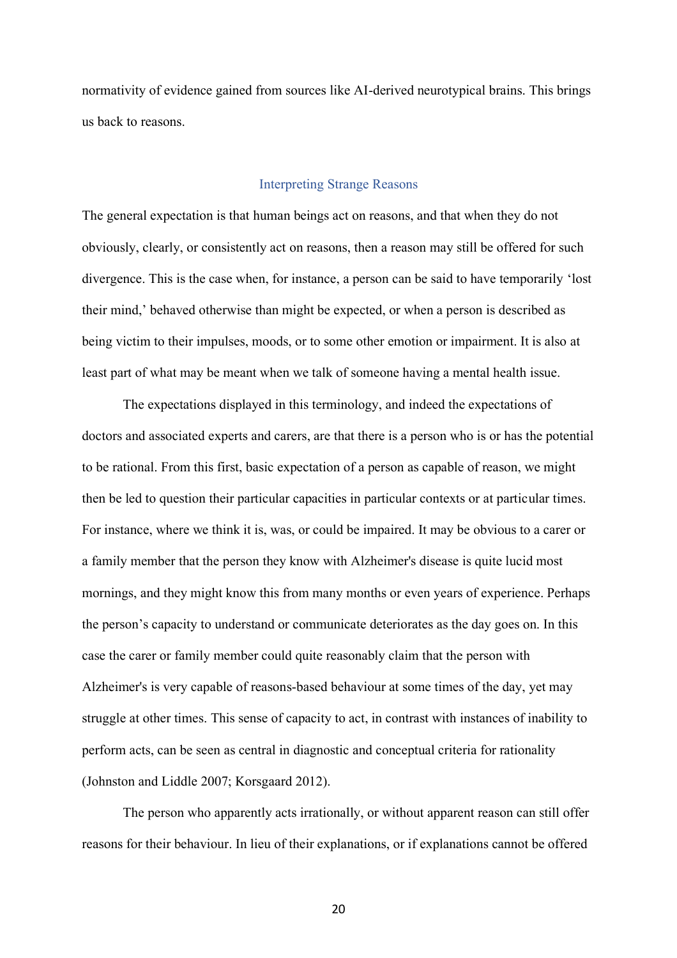normativity of evidence gained from sources like AI-derived neurotypical brains. This brings us back to reasons.

## Interpreting Strange Reasons

The general expectation is that human beings act on reasons, and that when they do not obviously, clearly, or consistently act on reasons, then a reason may still be offered for such divergence. This is the case when, for instance, a person can be said to have temporarily 'lost their mind,' behaved otherwise than might be expected, or when a person is described as being victim to their impulses, moods, or to some other emotion or impairment. It is also at least part of what may be meant when we talk of someone having a mental health issue.

The expectations displayed in this terminology, and indeed the expectations of doctors and associated experts and carers, are that there is a person who is or has the potential to be rational. From this first, basic expectation of a person as capable of reason, we might then be led to question their particular capacities in particular contexts or at particular times. For instance, where we think it is, was, or could be impaired. It may be obvious to a carer or a family member that the person they know with Alzheimer's disease is quite lucid most mornings, and they might know this from many months or even years of experience. Perhaps the person's capacity to understand or communicate deteriorates as the day goes on. In this case the carer or family member could quite reasonably claim that the person with Alzheimer's is very capable of reasons-based behaviour at some times of the day, yet may struggle at other times. This sense of capacity to act, in contrast with instances of inability to perform acts, can be seen as central in diagnostic and conceptual criteria for rationality (Johnston and Liddle 2007; Korsgaard 2012).

The person who apparently acts irrationally, or without apparent reason can still offer reasons for their behaviour. In lieu of their explanations, or if explanations cannot be offered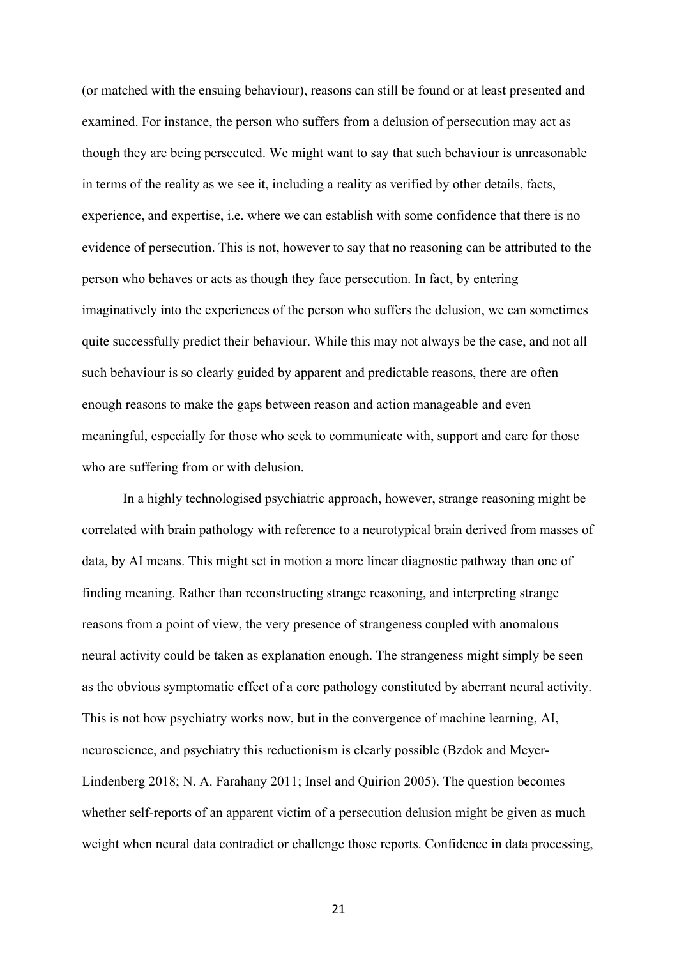(or matched with the ensuing behaviour), reasons can still be found or at least presented and examined. For instance, the person who suffers from a delusion of persecution may act as though they are being persecuted. We might want to say that such behaviour is unreasonable in terms of the reality as we see it, including a reality as verified by other details, facts, experience, and expertise, i.e. where we can establish with some confidence that there is no evidence of persecution. This is not, however to say that no reasoning can be attributed to the person who behaves or acts as though they face persecution. In fact, by entering imaginatively into the experiences of the person who suffers the delusion, we can sometimes quite successfully predict their behaviour. While this may not always be the case, and not all such behaviour is so clearly guided by apparent and predictable reasons, there are often enough reasons to make the gaps between reason and action manageable and even meaningful, especially for those who seek to communicate with, support and care for those who are suffering from or with delusion.

In a highly technologised psychiatric approach, however, strange reasoning might be correlated with brain pathology with reference to a neurotypical brain derived from masses of data, by AI means. This might set in motion a more linear diagnostic pathway than one of finding meaning. Rather than reconstructing strange reasoning, and interpreting strange reasons from a point of view, the very presence of strangeness coupled with anomalous neural activity could be taken as explanation enough. The strangeness might simply be seen as the obvious symptomatic effect of a core pathology constituted by aberrant neural activity. This is not how psychiatry works now, but in the convergence of machine learning, AI, neuroscience, and psychiatry this reductionism is clearly possible (Bzdok and Meyer-Lindenberg 2018; N. A. Farahany 2011; Insel and Quirion 2005). The question becomes whether self-reports of an apparent victim of a persecution delusion might be given as much weight when neural data contradict or challenge those reports. Confidence in data processing,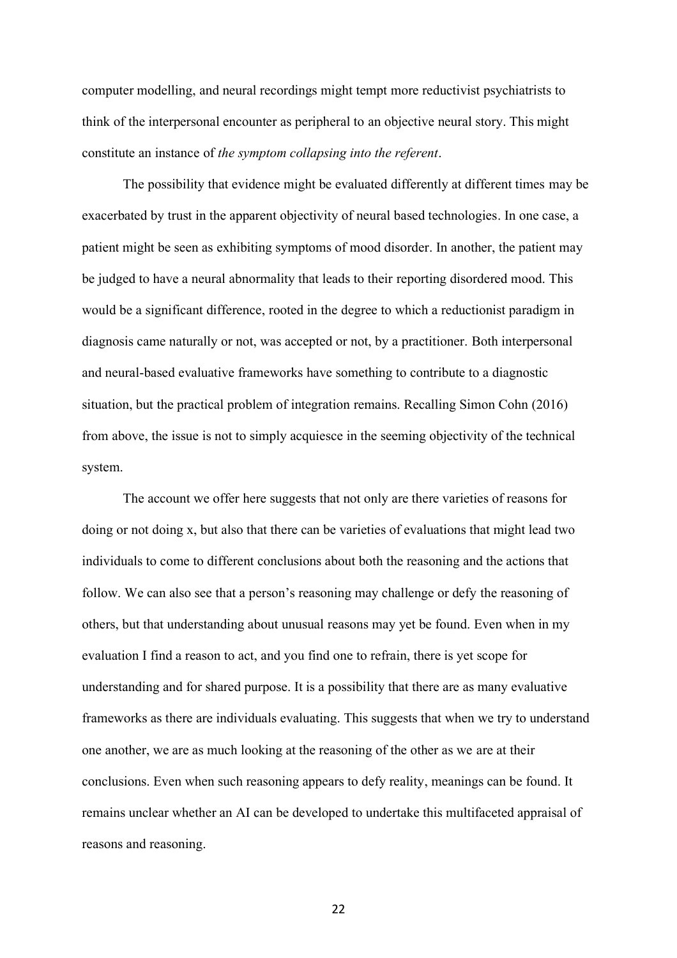computer modelling, and neural recordings might tempt more reductivist psychiatrists to think of the interpersonal encounter as peripheral to an objective neural story. This might constitute an instance of *the symptom collapsing into the referent*.

The possibility that evidence might be evaluated differently at different times may be exacerbated by trust in the apparent objectivity of neural based technologies. In one case, a patient might be seen as exhibiting symptoms of mood disorder. In another, the patient may be judged to have a neural abnormality that leads to their reporting disordered mood. This would be a significant difference, rooted in the degree to which a reductionist paradigm in diagnosis came naturally or not, was accepted or not, by a practitioner. Both interpersonal and neural-based evaluative frameworks have something to contribute to a diagnostic situation, but the practical problem of integration remains. Recalling Simon Cohn (2016) from above, the issue is not to simply acquiesce in the seeming objectivity of the technical system.

The account we offer here suggests that not only are there varieties of reasons for doing or not doing x, but also that there can be varieties of evaluations that might lead two individuals to come to different conclusions about both the reasoning and the actions that follow. We can also see that a person's reasoning may challenge or defy the reasoning of others, but that understanding about unusual reasons may yet be found. Even when in my evaluation I find a reason to act, and you find one to refrain, there is yet scope for understanding and for shared purpose. It is a possibility that there are as many evaluative frameworks as there are individuals evaluating. This suggests that when we try to understand one another, we are as much looking at the reasoning of the other as we are at their conclusions. Even when such reasoning appears to defy reality, meanings can be found. It remains unclear whether an AI can be developed to undertake this multifaceted appraisal of reasons and reasoning.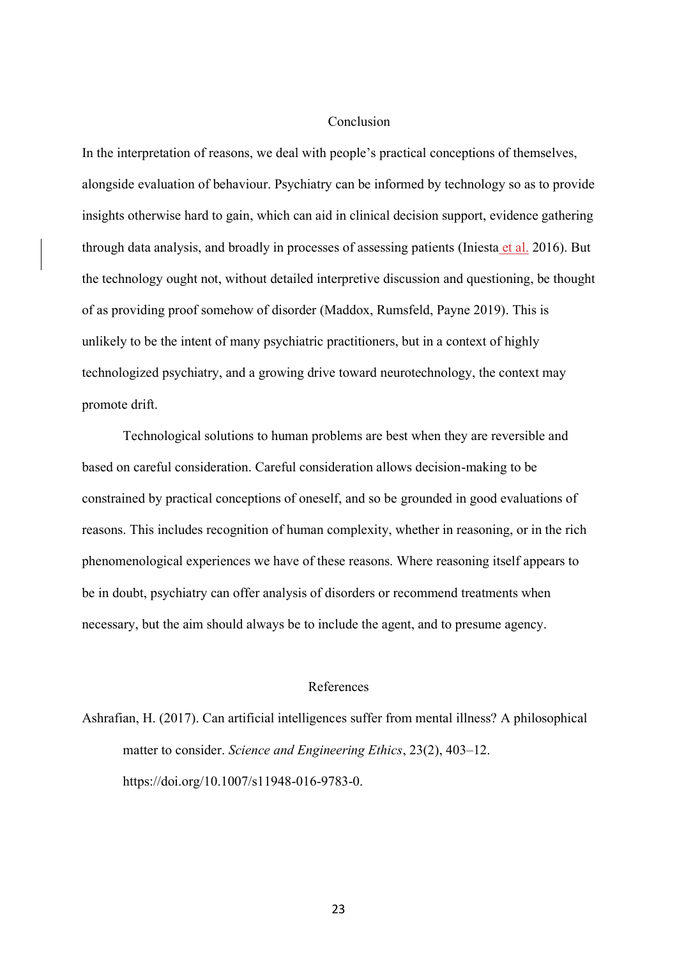## Conclusion

In the interpretation of reasons, we deal with people's practical conceptions of themselves, alongside evaluation of behaviour. Psychiatry can be informed by technology so as to provide insights otherwise hard to gain, which can aid in clinical decision support, evidence gathering through data analysis, and broadly in processes of assessing patients (Iniesta et al. 2016). But the technology ought not, without detailed interpretive discussion and questioning, be thought of as providing proof somehow of disorder (Maddox, Rumsfeld, Payne 2019). This is unlikely to be the intent of many psychiatric practitioners, but in a context of highly technologized psychiatry, and a growing drive toward neurotechnology, the context may promote drift.

Technological solutions to human problems are best when they are reversible and based on careful consideration. Careful consideration allows decision-making to be constrained by practical conceptions of oneself, and so be grounded in good evaluations of reasons. This includes recognition of human complexity, whether in reasoning, or in the rich phenomenological experiences we have of these reasons. Where reasoning itself appears to be in doubt, psychiatry can offer analysis of disorders or recommend treatments when necessary, but the aim should always be to include the agent, and to presume agency.

#### References

Ashrafian, H. (2017). Can artificial intelligences suffer from mental illness? A philosophical matter to consider. *Science and Engineering Ethics*, 23(2), 403–12. https://doi.org/10.1007/s11948-016-9783-0.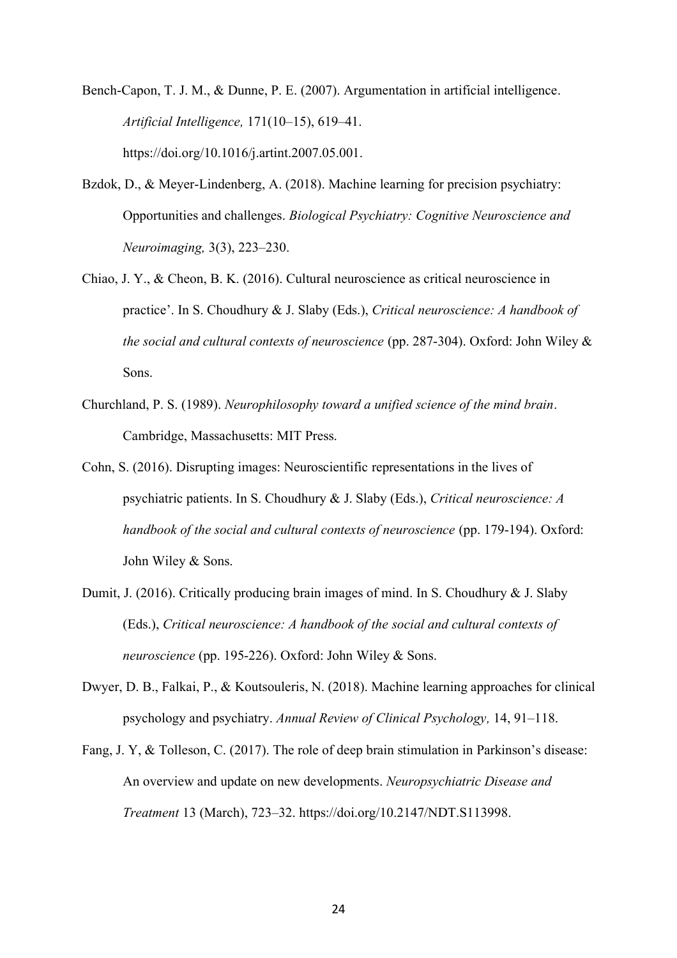Bench-Capon, T. J. M., & Dunne, P. E. (2007). Argumentation in artificial intelligence. *Artificial Intelligence,* 171(10–15), 619–41. https://doi.org/10.1016/j.artint.2007.05.001.

- Bzdok, D., & Meyer-Lindenberg, A. (2018). Machine learning for precision psychiatry: Opportunities and challenges. *Biological Psychiatry: Cognitive Neuroscience and Neuroimaging,* 3(3), 223–230.
- Chiao, J. Y., & Cheon, B. K. (2016). Cultural neuroscience as critical neuroscience in practice'. In S. Choudhury & J. Slaby (Eds.), *Critical neuroscience: A handbook of the social and cultural contexts of neuroscience* (pp. 287-304). Oxford: John Wiley & Sons.
- Churchland, P. S. (1989). *Neurophilosophy toward a unified science of the mind brain*. Cambridge, Massachusetts: MIT Press.
- Cohn, S. (2016). Disrupting images: Neuroscientific representations in the lives of psychiatric patients. In S. Choudhury & J. Slaby (Eds.), *Critical neuroscience: A handbook of the social and cultural contexts of neuroscience* (pp. 179-194). Oxford: John Wiley & Sons.
- Dumit, J. (2016). Critically producing brain images of mind. In S. Choudhury & J. Slaby (Eds.), *Critical neuroscience: A handbook of the social and cultural contexts of neuroscience* (pp. 195-226). Oxford: John Wiley & Sons.
- Dwyer, D. B., Falkai, P., & Koutsouleris, N. (2018). Machine learning approaches for clinical psychology and psychiatry. *Annual Review of Clinical Psychology,* 14, 91–118.
- Fang, J. Y, & Tolleson, C. (2017). The role of deep brain stimulation in Parkinson's disease: An overview and update on new developments. *Neuropsychiatric Disease and Treatment* 13 (March), 723–32. https://doi.org/10.2147/NDT.S113998.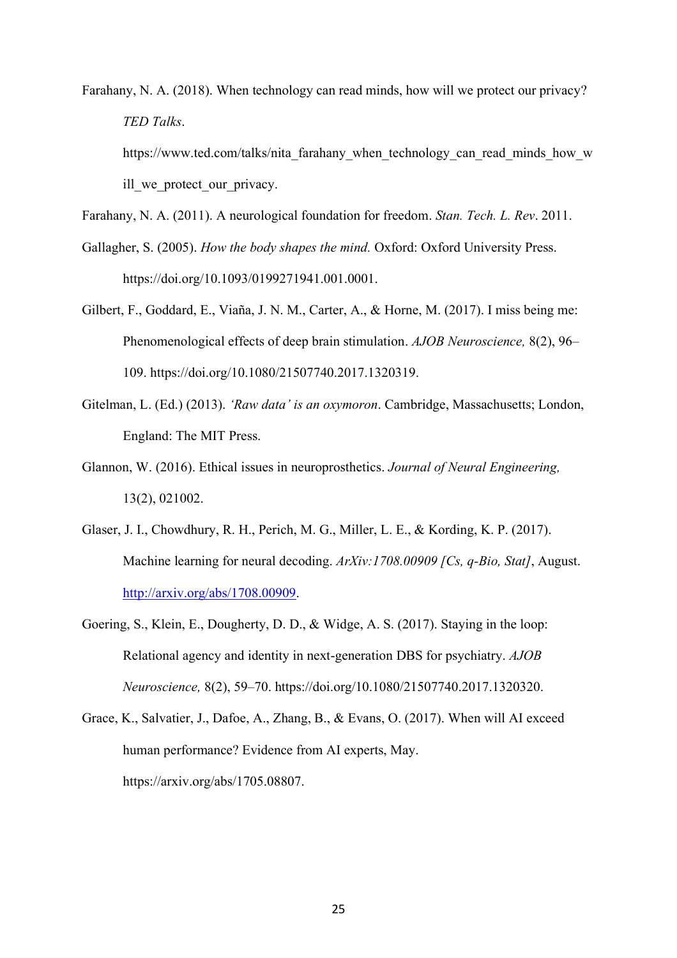Farahany, N. A. (2018). When technology can read minds, how will we protect our privacy? *TED Talks*.

https://www.ted.com/talks/nita\_farahany\_when\_technology\_can\_read\_minds\_how\_w ill we protect our privacy.

Farahany, N. A. (2011). A neurological foundation for freedom. *Stan. Tech. L. Rev*. 2011.

- Gallagher, S. (2005). *How the body shapes the mind.* Oxford: Oxford University Press. https://doi.org/10.1093/0199271941.001.0001.
- Gilbert, F., Goddard, E., Viaña, J. N. M., Carter, A., & Horne, M. (2017). I miss being me: Phenomenological effects of deep brain stimulation. *AJOB Neuroscience,* 8(2), 96– 109. https://doi.org/10.1080/21507740.2017.1320319.
- Gitelman, L. (Ed.) (2013). *'Raw data' is an oxymoron*. Cambridge, Massachusetts; London, England: The MIT Press.
- Glannon, W. (2016). Ethical issues in neuroprosthetics. *Journal of Neural Engineering,* 13(2), 021002.
- Glaser, J. I., Chowdhury, R. H., Perich, M. G., Miller, L. E., & Kording, K. P. (2017). Machine learning for neural decoding. *ArXiv:1708.00909 [Cs, q-Bio, Stat]*, August. [http://arxiv.org/abs/1708.00909.](http://arxiv.org/abs/1708.00909)
- Goering, S., Klein, E., Dougherty, D. D., & Widge, A. S. (2017). Staying in the loop: Relational agency and identity in next-generation DBS for psychiatry. *AJOB Neuroscience,* 8(2), 59–70. https://doi.org/10.1080/21507740.2017.1320320.
- Grace, K., Salvatier, J., Dafoe, A., Zhang, B., & Evans, O. (2017). When will AI exceed human performance? Evidence from AI experts, May. https://arxiv.org/abs/1705.08807.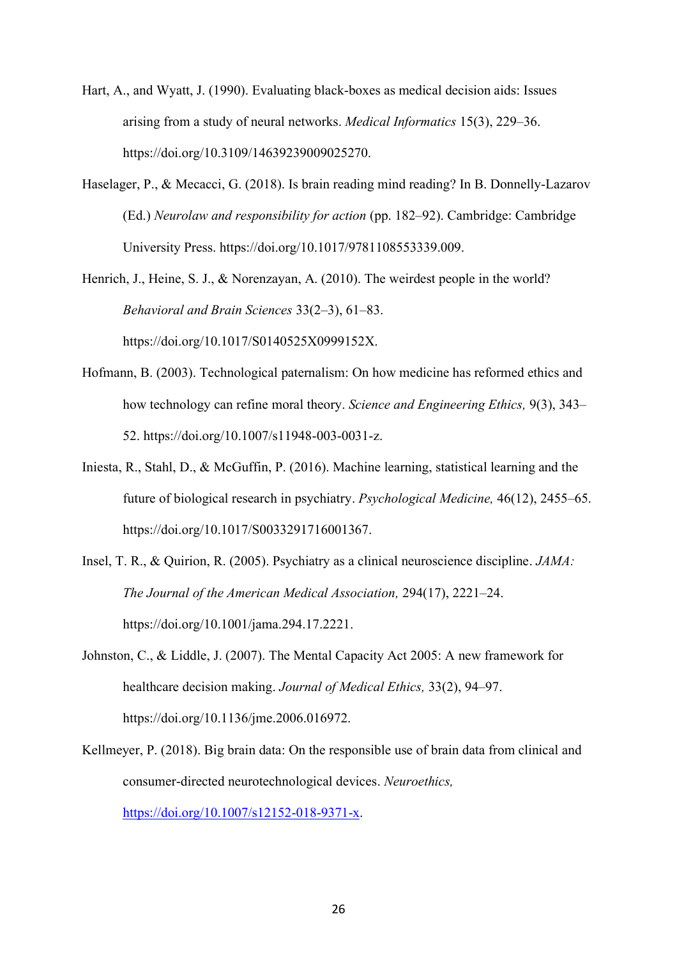- Hart, A., and Wyatt, J. (1990). Evaluating black-boxes as medical decision aids: Issues arising from a study of neural networks. *Medical Informatics* 15(3), 229–36. https://doi.org/10.3109/14639239009025270.
- Haselager, P., & Mecacci, G. (2018). Is brain reading mind reading? In B. Donnelly-Lazarov (Ed.) *Neurolaw and responsibility for action* (pp. 182–92). Cambridge: Cambridge University Press. https://doi.org/10.1017/9781108553339.009.
- Henrich, J., Heine, S. J., & Norenzayan, A. (2010). The weirdest people in the world? *Behavioral and Brain Sciences* 33(2–3), 61–83.

https://doi.org/10.1017/S0140525X0999152X.

- Hofmann, B. (2003). Technological paternalism: On how medicine has reformed ethics and how technology can refine moral theory. *Science and Engineering Ethics,* 9(3), 343– 52. https://doi.org/10.1007/s11948-003-0031-z.
- Iniesta, R., Stahl, D., & McGuffin, P. (2016). Machine learning, statistical learning and the future of biological research in psychiatry. *Psychological Medicine,* 46(12), 2455–65. https://doi.org/10.1017/S0033291716001367.
- Insel, T. R., & Quirion, R. (2005). Psychiatry as a clinical neuroscience discipline. *JAMA: The Journal of the American Medical Association,* 294(17), 2221–24. https://doi.org/10.1001/jama.294.17.2221.
- Johnston, C., & Liddle, J. (2007). The Mental Capacity Act 2005: A new framework for healthcare decision making. *Journal of Medical Ethics,* 33(2), 94–97. https://doi.org/10.1136/jme.2006.016972.
- Kellmeyer, P. (2018). Big brain data: On the responsible use of brain data from clinical and consumer-directed neurotechnological devices. *Neuroethics,* [https://doi.org/10.1007/s12152-018-9371-x.](https://doi.org/10.1007/s12152-018-9371-x)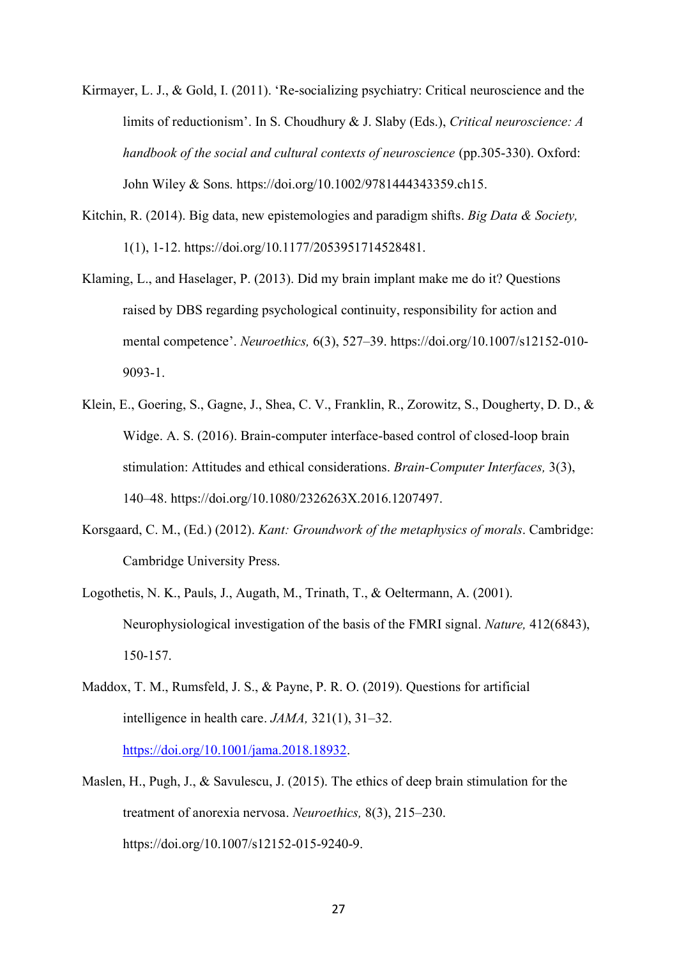- Kirmayer, L. J., & Gold, I. (2011). 'Re-socializing psychiatry: Critical neuroscience and the limits of reductionism'. In S. Choudhury & J. Slaby (Eds.), *Critical neuroscience: A handbook of the social and cultural contexts of neuroscience* (pp.305-330). Oxford: John Wiley & Sons. https://doi.org/10.1002/9781444343359.ch15.
- Kitchin, R. (2014). Big data, new epistemologies and paradigm shifts. *Big Data & Society,* 1(1), 1-12. https://doi.org/10.1177/2053951714528481.
- Klaming, L., and Haselager, P. (2013). Did my brain implant make me do it? Questions raised by DBS regarding psychological continuity, responsibility for action and mental competence'. *Neuroethics,* 6(3), 527–39. https://doi.org/10.1007/s12152-010- 9093-1.
- Klein, E., Goering, S., Gagne, J., Shea, C. V., Franklin, R., Zorowitz, S., Dougherty, D. D., & Widge. A. S. (2016). Brain-computer interface-based control of closed-loop brain stimulation: Attitudes and ethical considerations. *Brain-Computer Interfaces,* 3(3), 140–48. https://doi.org/10.1080/2326263X.2016.1207497.
- Korsgaard, C. M., (Ed.) (2012). *Kant: Groundwork of the metaphysics of morals*. Cambridge: Cambridge University Press.
- Logothetis, N. K., Pauls, J., Augath, M., Trinath, T., & Oeltermann, A. (2001). Neurophysiological investigation of the basis of the FMRI signal. *Nature,* 412(6843), 150-157.
- Maddox, T. M., Rumsfeld, J. S., & Payne, P. R. O. (2019). Questions for artificial intelligence in health care. *JAMA,* 321(1), 31–32. [https://doi.org/10.1001/jama.2018.18932.](https://doi.org/10.1001/jama.2018.18932)
- Maslen, H., Pugh, J., & Savulescu, J. (2015). The ethics of deep brain stimulation for the treatment of anorexia nervosa. *Neuroethics,* 8(3), 215–230. https://doi.org/10.1007/s12152-015-9240-9.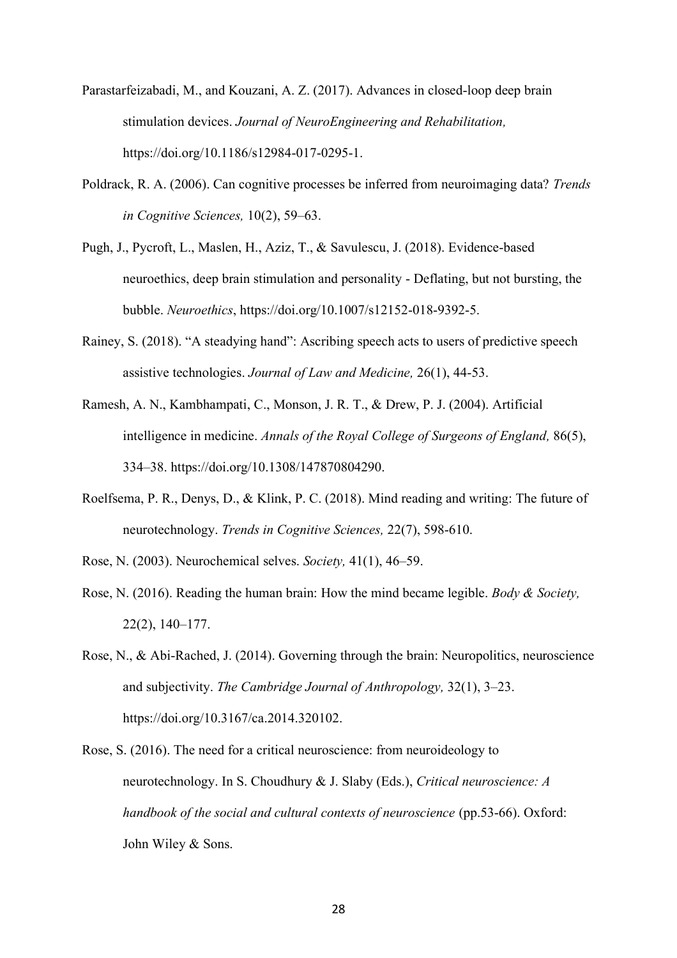- Parastarfeizabadi, M., and Kouzani, A. Z. (2017). Advances in closed-loop deep brain stimulation devices. *Journal of NeuroEngineering and Rehabilitation,*  https://doi.org/10.1186/s12984-017-0295-1.
- Poldrack, R. A. (2006). Can cognitive processes be inferred from neuroimaging data? *Trends in Cognitive Sciences,* 10(2), 59–63.
- Pugh, J., Pycroft, L., Maslen, H., Aziz, T., & Savulescu, J. (2018). Evidence-based neuroethics, deep brain stimulation and personality - Deflating, but not bursting, the bubble. *Neuroethics*, https://doi.org/10.1007/s12152-018-9392-5.
- Rainey, S. (2018). "A steadying hand": Ascribing speech acts to users of predictive speech assistive technologies. *Journal of Law and Medicine,* 26(1), 44-53.
- Ramesh, A. N., Kambhampati, C., Monson, J. R. T., & Drew, P. J. (2004). Artificial intelligence in medicine. *Annals of the Royal College of Surgeons of England,* 86(5), 334–38. https://doi.org/10.1308/147870804290.
- Roelfsema, P. R., Denys, D., & Klink, P. C. (2018). Mind reading and writing: The future of neurotechnology. *Trends in Cognitive Sciences,* 22(7), 598-610.
- Rose, N. (2003). Neurochemical selves. *Society,* 41(1), 46–59.
- Rose, N. (2016). Reading the human brain: How the mind became legible. *Body & Society,* 22(2), 140–177.
- Rose, N., & Abi-Rached, J. (2014). Governing through the brain: Neuropolitics, neuroscience and subjectivity. *The Cambridge Journal of Anthropology,* 32(1), 3–23. https://doi.org/10.3167/ca.2014.320102.
- Rose, S. (2016). The need for a critical neuroscience: from neuroideology to neurotechnology. In S. Choudhury & J. Slaby (Eds.), *Critical neuroscience: A handbook of the social and cultural contexts of neuroscience* (pp.53-66). Oxford: John Wiley & Sons.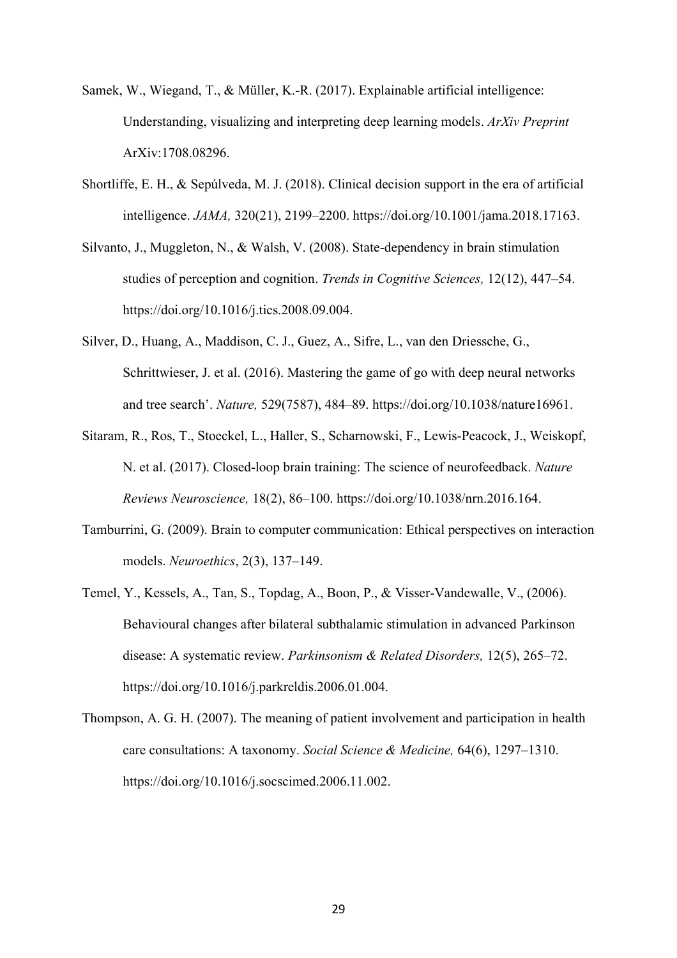- Samek, W., Wiegand, T., & Müller, K.-R. (2017). Explainable artificial intelligence: Understanding, visualizing and interpreting deep learning models. *ArXiv Preprint* ArXiv:1708.08296.
- Shortliffe, E. H., & Sepúlveda, M. J. (2018). Clinical decision support in the era of artificial intelligence. *JAMA,* 320(21), 2199–2200. https://doi.org/10.1001/jama.2018.17163.
- Silvanto, J., Muggleton, N., & Walsh, V. (2008). State-dependency in brain stimulation studies of perception and cognition. *Trends in Cognitive Sciences,* 12(12), 447–54. https://doi.org/10.1016/j.tics.2008.09.004.
- Silver, D., Huang, A., Maddison, C. J., Guez, A., Sifre, L., van den Driessche, G., Schrittwieser, J. et al. (2016). Mastering the game of go with deep neural networks and tree search'. *Nature,* 529(7587), 484–89. https://doi.org/10.1038/nature16961.
- Sitaram, R., Ros, T., Stoeckel, L., Haller, S., Scharnowski, F., Lewis-Peacock, J., Weiskopf, N. et al. (2017). Closed-loop brain training: The science of neurofeedback. *Nature Reviews Neuroscience,* 18(2), 86–100. https://doi.org/10.1038/nrn.2016.164.
- Tamburrini, G. (2009). Brain to computer communication: Ethical perspectives on interaction models. *Neuroethics*, 2(3), 137–149.
- Temel, Y., Kessels, A., Tan, S., Topdag, A., Boon, P., & Visser-Vandewalle, V., (2006). Behavioural changes after bilateral subthalamic stimulation in advanced Parkinson disease: A systematic review. *Parkinsonism & Related Disorders,* 12(5), 265–72. https://doi.org/10.1016/j.parkreldis.2006.01.004.
- Thompson, A. G. H. (2007). The meaning of patient involvement and participation in health care consultations: A taxonomy. *Social Science & Medicine,* 64(6), 1297–1310. https://doi.org/10.1016/j.socscimed.2006.11.002.